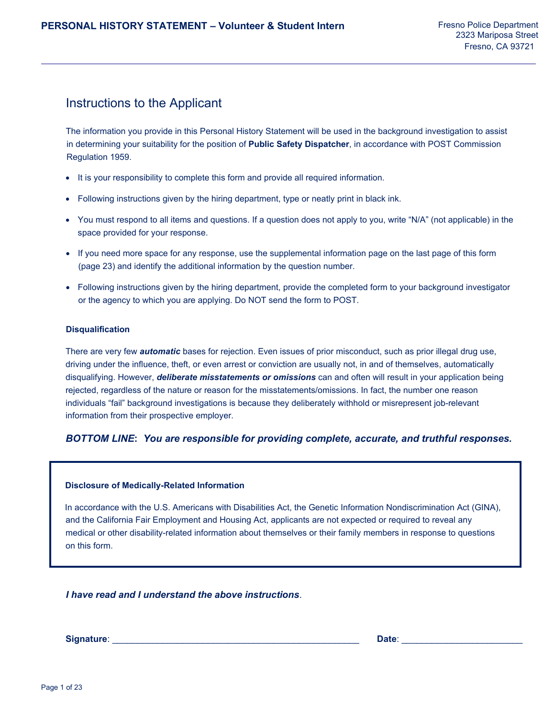# Instructions to the Applicant

The information you provide in this Personal History Statement will be used in the background investigation to assist in determining your suitability for the position of **Public Safety Dispatcher**, in accordance with POST Commission Regulation 1959.

- It is your responsibility to complete this form and provide all required information.
- Following instructions given by the hiring department, type or neatly print in black ink.
- You must respond to all items and questions. If a question does not apply to you, write "N/A" (not applicable) in the space provided for your response.
- If you need more space for any response, use the supplemental information page on the last page of this form (page 23) and identify the additional information by the question number.
- Following instructions given by the hiring department, provide the completed form to your background investigator or the agency to which you are applying. Do NOT send the form to POST.

#### **Disqualification**

There are very few *automatic* bases for rejection. Even issues of prior misconduct, such as prior illegal drug use, driving under the influence, theft, or even arrest or conviction are usually not, in and of themselves, automatically disqualifying. However, *deliberate misstatements or omissions* can and often will result in your application being rejected, regardless of the nature or reason for the misstatements/omissions. In fact, the number one reason individuals "fail" background investigations is because they deliberately withhold or misrepresent job-relevant information from their prospective employer.

## *BOTTOM LINE***:** *You are responsible for providing complete, accurate, and truthful responses.*

#### **Disclosure of Medically-Related Information**

In accordance with the U.S. Americans with Disabilities Act, the Genetic Information Nondiscrimination Act (GINA), and the California Fair Employment and Housing Act, applicants are not expected or required to reveal any medical or other disability-related information about themselves or their family members in response to questions on this form.

*I have read and I understand the above instructions*.

**Signature**: \_\_\_\_\_\_\_\_\_\_\_\_\_\_\_\_\_\_\_\_\_\_\_\_\_\_\_\_\_\_\_\_\_\_\_\_\_\_\_\_\_\_\_\_\_\_\_\_\_ **Date**: \_\_\_\_\_\_\_\_\_\_\_\_\_\_\_\_\_\_\_\_\_\_\_\_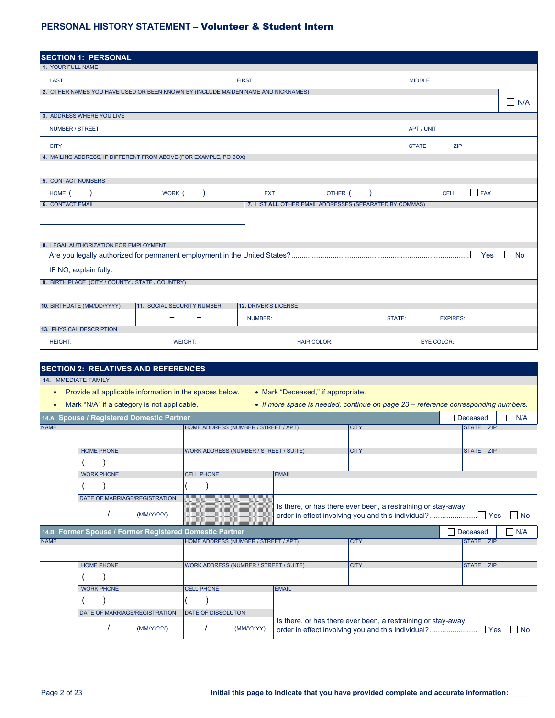| <b>SECTION 1: PERSONAL</b>                       |                                                                                   |                             |                                                         |        |                            |            |     |
|--------------------------------------------------|-----------------------------------------------------------------------------------|-----------------------------|---------------------------------------------------------|--------|----------------------------|------------|-----|
| 1. YOUR FULL NAME                                |                                                                                   |                             |                                                         |        |                            |            |     |
| <b>LAST</b>                                      |                                                                                   | <b>FIRST</b>                |                                                         |        | <b>MIDDLE</b>              |            |     |
|                                                  | 2. OTHER NAMES YOU HAVE USED OR BEEN KNOWN BY (INCLUDE MAIDEN NAME AND NICKNAMES) |                             |                                                         |        |                            |            |     |
|                                                  |                                                                                   |                             |                                                         |        |                            |            | N/A |
| 3. ADDRESS WHERE YOU LIVE                        |                                                                                   |                             |                                                         |        |                            |            |     |
| NUMBER / STREET                                  |                                                                                   |                             |                                                         |        | APT / UNIT                 |            |     |
| <b>CITY</b>                                      |                                                                                   |                             |                                                         |        | <b>STATE</b><br><b>ZIP</b> |            |     |
|                                                  | 4. MAILING ADDRESS, IF DIFFERENT FROM ABOVE (FOR EXAMPLE, PO BOX)                 |                             |                                                         |        |                            |            |     |
|                                                  |                                                                                   |                             |                                                         |        |                            |            |     |
| <b>5. CONTACT NUMBERS</b>                        |                                                                                   |                             |                                                         |        |                            |            |     |
| HOME (                                           | WORK (                                                                            | <b>EXT</b>                  | OTHER (                                                 |        | $\Box$ CELL                | $\Box$ FAX |     |
| <b>6. CONTACT EMAIL</b>                          |                                                                                   |                             | 7. LIST ALL OTHER EMAIL ADDRESSES (SEPARATED BY COMMAS) |        |                            |            |     |
|                                                  |                                                                                   |                             |                                                         |        |                            |            |     |
|                                                  |                                                                                   |                             |                                                         |        |                            |            |     |
|                                                  |                                                                                   |                             |                                                         |        |                            |            |     |
| 8. LEGAL AUTHORIZATION FOR EMPLOYMENT            |                                                                                   |                             |                                                         |        |                            |            |     |
|                                                  |                                                                                   |                             |                                                         |        |                            |            | No  |
| IF NO, explain fully: _____                      |                                                                                   |                             |                                                         |        |                            |            |     |
| 9. BIRTH PLACE (CITY / COUNTY / STATE / COUNTRY) |                                                                                   |                             |                                                         |        |                            |            |     |
|                                                  |                                                                                   |                             |                                                         |        |                            |            |     |
|                                                  |                                                                                   |                             |                                                         |        |                            |            |     |
| 10. BIRTHDATE (MM/DD/YYYY)                       | <b>11. SOCIAL SECURITY NUMBER</b>                                                 | <b>12. DRIVER'S LICENSE</b> |                                                         |        |                            |            |     |
|                                                  |                                                                                   | <b>NUMBER:</b>              |                                                         | STATE: | <b>EXPIRES:</b>            |            |     |
| 13. PHYSICAL DESCRIPTION                         |                                                                                   |                             |                                                         |        |                            |            |     |
| <b>HEIGHT:</b>                                   | <b>WEIGHT:</b>                                                                    |                             | <b>HAIR COLOR:</b>                                      |        | <b>EYE COLOR:</b>          |            |     |

|                                                                                                |                   | <b>SECTION 2: RELATIVES AND REFERENCES</b>  |                                                         |                                    |                                                                                   |                 |            |  |  |  |  |
|------------------------------------------------------------------------------------------------|-------------------|---------------------------------------------|---------------------------------------------------------|------------------------------------|-----------------------------------------------------------------------------------|-----------------|------------|--|--|--|--|
| <b>14. IMMEDIATE FAMILY</b>                                                                    |                   |                                             |                                                         |                                    |                                                                                   |                 |            |  |  |  |  |
| $\bullet$                                                                                      |                   |                                             | Provide all applicable information in the spaces below. | • Mark "Deceased," if appropriate. |                                                                                   |                 |            |  |  |  |  |
| $\bullet$                                                                                      |                   | Mark "N/A" if a category is not applicable. |                                                         |                                    | • If more space is needed, continue on page 23 – reference corresponding numbers. |                 |            |  |  |  |  |
|                                                                                                |                   | 14.A Spouse / Registered Domestic Partner   |                                                         |                                    |                                                                                   | Deceased        | $\Box$ N/A |  |  |  |  |
| <b>NAME</b>                                                                                    |                   |                                             | HOME ADDRESS (NUMBER / STREET / APT)                    |                                    | <b>CITY</b>                                                                       | STATE ZIP       |            |  |  |  |  |
|                                                                                                |                   |                                             |                                                         |                                    |                                                                                   |                 |            |  |  |  |  |
| <b>HOME PHONE</b><br><b>WORK ADDRESS (NUMBER / STREET / SUITE)</b><br><b>CITY</b><br>STATE ZIP |                   |                                             |                                                         |                                    |                                                                                   |                 |            |  |  |  |  |
|                                                                                                |                   |                                             |                                                         |                                    |                                                                                   |                 |            |  |  |  |  |
|                                                                                                | <b>WORK PHONE</b> |                                             | <b>CELL PHONE</b>                                       | <b>EMAIL</b>                       |                                                                                   |                 |            |  |  |  |  |
|                                                                                                |                   |                                             |                                                         |                                    |                                                                                   |                 |            |  |  |  |  |
|                                                                                                |                   | DATE OF MARRIAGE/REGISTRATION               |                                                         |                                    |                                                                                   |                 |            |  |  |  |  |
|                                                                                                |                   | (MM/YYYY)                                   |                                                         |                                    | Is there, or has there ever been, a restraining or stay-away                      |                 | l No       |  |  |  |  |
|                                                                                                |                   |                                             | 14.B Former Spouse / Former Registered Domestic Partner |                                    |                                                                                   | $\Box$ Deceased | $\Box$ N/A |  |  |  |  |
| <b>NAME</b>                                                                                    |                   |                                             | HOME ADDRESS (NUMBER / STREET / APT)                    |                                    | <b>CITY</b>                                                                       | STATE ZIP       |            |  |  |  |  |
|                                                                                                |                   |                                             |                                                         |                                    |                                                                                   |                 |            |  |  |  |  |
|                                                                                                | <b>HOME PHONE</b> |                                             | <b>WORK ADDRESS (NUMBER / STREET / SUITE)</b>           |                                    | <b>CITY</b>                                                                       | STATE ZIP       |            |  |  |  |  |
|                                                                                                |                   |                                             |                                                         |                                    |                                                                                   |                 |            |  |  |  |  |
|                                                                                                | <b>WORK PHONE</b> |                                             | <b>CELL PHONE</b>                                       | <b>EMAIL</b>                       |                                                                                   |                 |            |  |  |  |  |
|                                                                                                |                   |                                             |                                                         |                                    |                                                                                   |                 |            |  |  |  |  |
|                                                                                                |                   | DATE OF MARRIAGE/REGISTRATION               | <b>DATE OF DISSOLUTON</b>                               |                                    |                                                                                   |                 |            |  |  |  |  |
|                                                                                                |                   | (MM/YYYY)                                   | (MM/YYYY)                                               |                                    | Is there, or has there ever been, a restraining or stay-away                      |                 | <b>No</b>  |  |  |  |  |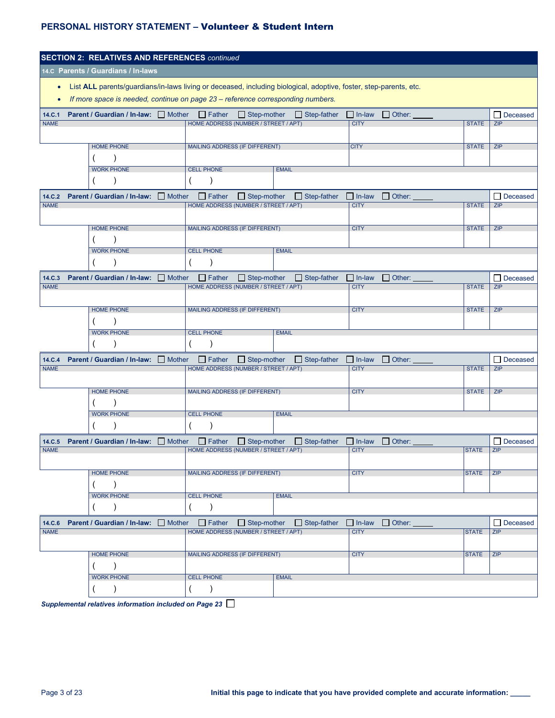|                       | <b>SECTION 2: RELATIVES AND REFERENCES continued</b> |                                                       |                    |                                                                                                                   |                              |                             |              |                      |
|-----------------------|------------------------------------------------------|-------------------------------------------------------|--------------------|-------------------------------------------------------------------------------------------------------------------|------------------------------|-----------------------------|--------------|----------------------|
|                       | 14.C Parents / Guardians / In-laws                   |                                                       |                    |                                                                                                                   |                              |                             |              |                      |
| $\bullet$             |                                                      |                                                       |                    | List ALL parents/guardians/in-laws living or deceased, including biological, adoptive, foster, step-parents, etc. |                              |                             |              |                      |
| $\bullet$             |                                                      |                                                       |                    | If more space is needed, continue on page 23 - reference corresponding numbers.                                   |                              |                             |              |                      |
| 14.C.1                | Parent / Guardian / In-law: Mother                   | $\Box$ Father                                         | $\Box$ Step-mother | $\Box$ Step-father                                                                                                | $\Box$ In-law                | $\Box$ Other:               |              | Deceased             |
| <b>NAME</b>           |                                                      | HOME ADDRESS (NUMBER / STREET / APT)                  |                    |                                                                                                                   | <b>CITY</b>                  |                             | <b>STATE</b> | ZIP                  |
|                       |                                                      |                                                       |                    |                                                                                                                   |                              |                             |              |                      |
|                       | <b>HOME PHONE</b>                                    | <b>MAILING ADDRESS (IF DIFFERENT)</b>                 |                    |                                                                                                                   | <b>CITY</b>                  |                             | <b>STATE</b> | ZIP                  |
|                       | <b>WORK PHONE</b>                                    | <b>CELL PHONE</b>                                     |                    | <b>EMAIL</b>                                                                                                      |                              |                             |              |                      |
|                       |                                                      |                                                       |                    |                                                                                                                   |                              |                             |              |                      |
|                       |                                                      |                                                       |                    |                                                                                                                   |                              |                             |              |                      |
| 14.C.2<br><b>NAME</b> | Parent / Guardian / In-law: Mother                   | $\Box$ Father<br>HOME ADDRESS (NUMBER / STREET / APT) | $\Box$ Step-mother | $\Box$ Step-father                                                                                                | $\Box$ In-law<br><b>CITY</b> | $\Box$ Other:               | <b>STATE</b> | Deceased<br>ப<br>ZIP |
|                       |                                                      |                                                       |                    |                                                                                                                   |                              |                             |              |                      |
|                       | <b>HOME PHONE</b>                                    | MAILING ADDRESS (IF DIFFERENT)                        |                    |                                                                                                                   | <b>CITY</b>                  |                             | <b>STATE</b> | ZIP                  |
|                       |                                                      |                                                       |                    |                                                                                                                   |                              |                             |              |                      |
|                       | <b>WORK PHONE</b>                                    | <b>CELL PHONE</b>                                     |                    | <b>EMAIL</b>                                                                                                      |                              |                             |              |                      |
|                       |                                                      |                                                       |                    |                                                                                                                   |                              |                             |              |                      |
| 14.C.3                | Parent / Guardian / In-law: Mother                   | $\Box$ Father<br>HOME ADDRESS (NUMBER / STREET / APT) | $\Box$ Step-mother | $\Box$ Step-father                                                                                                | $\Box$ In-law                | $\Box$ Other:               |              | Deceased             |
| <b>NAME</b>           |                                                      |                                                       |                    |                                                                                                                   | <b>CITY</b>                  |                             | <b>STATE</b> | ZIP                  |
|                       | <b>HOME PHONE</b>                                    | MAILING ADDRESS (IF DIFFERENT)                        |                    |                                                                                                                   | <b>CITY</b>                  |                             | <b>STATE</b> | ZIP                  |
|                       |                                                      |                                                       |                    |                                                                                                                   |                              |                             |              |                      |
|                       | <b>WORK PHONE</b>                                    | <b>CELL PHONE</b>                                     |                    | <b>EMAIL</b>                                                                                                      |                              |                             |              |                      |
|                       |                                                      |                                                       |                    |                                                                                                                   |                              |                             |              |                      |
| 14.C.4                | Parent / Guardian / In-law: Mother                   | $\Box$ Father                                         | $\Box$ Step-mother | $\Box$ Step-father                                                                                                | $\Box$ In-law                | $\Box$ Other:               |              | Deceased<br>ப        |
| <b>NAME</b>           |                                                      | HOME ADDRESS (NUMBER / STREET / APT)                  |                    |                                                                                                                   | <b>CITY</b>                  |                             | <b>STATE</b> | ZIP                  |
|                       |                                                      |                                                       |                    |                                                                                                                   |                              |                             |              |                      |
|                       | <b>HOME PHONE</b>                                    | MAILING ADDRESS (IF DIFFERENT)                        |                    |                                                                                                                   | <b>CITY</b>                  |                             | <b>STATE</b> | ZIP                  |
|                       | <b>WORK PHONE</b>                                    | <b>CELL PHONE</b>                                     |                    | <b>EMAIL</b>                                                                                                      |                              |                             |              |                      |
|                       |                                                      |                                                       |                    |                                                                                                                   |                              |                             |              |                      |
| 14.C.5                | <b>Parent / Guardian / In-law:</b> Mother            | $\Box$ Father                                         | $\Box$ Step-mother | $\Box$ Step-father                                                                                                | $\Box$ In-law                | $\Box$ Other:               |              | Deceased<br>⊔        |
| <b>NAME</b>           |                                                      | HOME ADDRESS (NUMBER / STREET / APT)                  |                    |                                                                                                                   | <b>CITY</b>                  |                             | <b>STATE</b> | ZIP                  |
|                       |                                                      |                                                       |                    |                                                                                                                   |                              |                             |              |                      |
|                       | <b>HOME PHONE</b>                                    | <b>MAILING ADDRESS (IF DIFFERENT)</b>                 |                    |                                                                                                                   | <b>CITY</b>                  |                             | <b>STATE</b> | ZIP                  |
|                       | $\lambda$                                            |                                                       |                    |                                                                                                                   |                              |                             |              |                      |
|                       | <b>WORK PHONE</b><br>$\lambda$                       | <b>CELL PHONE</b><br>$\mathcal{C}$                    |                    | <b>EMAIL</b>                                                                                                      |                              |                             |              |                      |
|                       |                                                      |                                                       |                    |                                                                                                                   |                              |                             |              |                      |
| 14.C.6<br><b>NAME</b> | <b>Parent / Guardian / In-law:</b> Mother            | HOME ADDRESS (NUMBER / STREET / APT)                  |                    | Father Step-mother Step-father                                                                                    | <b>CITY</b>                  | $\Box$ In-law $\Box$ Other: | <b>STATE</b> | Deceased<br>ZIP      |
|                       |                                                      |                                                       |                    |                                                                                                                   |                              |                             |              |                      |
|                       | <b>HOME PHONE</b>                                    | <b>MAILING ADDRESS (IF DIFFERENT)</b>                 |                    |                                                                                                                   | <b>CITY</b>                  |                             | <b>STATE</b> | ZIP                  |
|                       | $\lambda$                                            |                                                       |                    |                                                                                                                   |                              |                             |              |                      |
|                       | <b>WORK PHONE</b>                                    | <b>CELL PHONE</b>                                     |                    | <b>EMAIL</b>                                                                                                      |                              |                             |              |                      |
|                       | $\lambda$                                            | $\mathcal{L}$                                         |                    |                                                                                                                   |                              |                             |              |                      |

*Supplemental relatives information included on Page 23*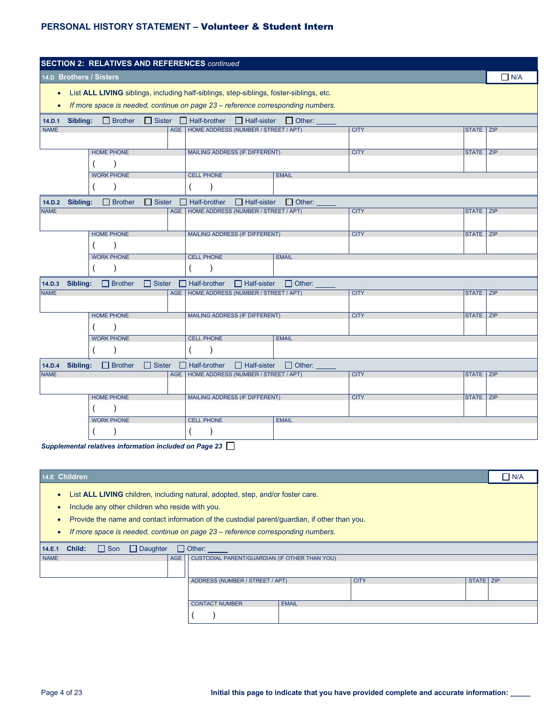| <b>SECTION 2: RELATIVES AND REFERENCES continued</b>                                                                |                   |                         |               |  |                                                                                                                                                                            |               |             |             |            |
|---------------------------------------------------------------------------------------------------------------------|-------------------|-------------------------|---------------|--|----------------------------------------------------------------------------------------------------------------------------------------------------------------------------|---------------|-------------|-------------|------------|
|                                                                                                                     |                   | 14.D Brothers / Sisters |               |  |                                                                                                                                                                            |               |             |             | $\Box$ N/A |
| $\bullet$<br>$\bullet$                                                                                              |                   |                         |               |  | List ALL LIVING siblings, including half-siblings, step-siblings, foster-siblings, etc.<br>If more space is needed, continue on page 23 - reference corresponding numbers. |               |             |             |            |
| 14.D.1                                                                                                              | Sibling:          | $\Box$ Brother          |               |  | $\Box$ Sister $\Box$ Half-brother<br>$\Box$ Half-sister                                                                                                                    | $\Box$ Other: |             |             |            |
| <b>NAME</b>                                                                                                         |                   |                         |               |  | AGE   HOME ADDRESS (NUMBER / STREET / APT)                                                                                                                                 |               | <b>CITY</b> | STATE ZIP   |            |
|                                                                                                                     |                   | <b>HOME PHONE</b>       |               |  | <b>MAILING ADDRESS (IF DIFFERENT)</b>                                                                                                                                      |               | <b>CITY</b> | STATE ZIP   |            |
|                                                                                                                     |                   |                         |               |  |                                                                                                                                                                            |               |             |             |            |
| <b>WORK PHONE</b><br><b>CELL PHONE</b>                                                                              |                   |                         |               |  |                                                                                                                                                                            | <b>EMAIL</b>  |             |             |            |
|                                                                                                                     |                   |                         |               |  |                                                                                                                                                                            |               |             |             |            |
| $\Box$ Sister<br>Sibling:<br>$\Box$ Brother<br>$\Box$ Half-brother<br>$\Box$ Half-sister<br>$\Box$ Other:<br>14.D.2 |                   |                         |               |  |                                                                                                                                                                            |               |             |             |            |
| <b>NAME</b>                                                                                                         |                   |                         |               |  | AGE   HOME ADDRESS (NUMBER / STREET / APT)                                                                                                                                 |               | <b>CITY</b> | STATE ZIP   |            |
|                                                                                                                     |                   | <b>HOME PHONE</b>       |               |  | <b>MAILING ADDRESS (IF DIFFERENT)</b>                                                                                                                                      |               | <b>CITY</b> | STATE ZIP   |            |
|                                                                                                                     |                   |                         |               |  |                                                                                                                                                                            |               |             |             |            |
|                                                                                                                     |                   | <b>WORK PHONE</b>       |               |  | <b>CELL PHONE</b>                                                                                                                                                          | <b>EMAIL</b>  |             |             |            |
|                                                                                                                     |                   |                         |               |  |                                                                                                                                                                            |               |             |             |            |
| 14.D.3                                                                                                              | Sibling:          | $\Box$ Brother          | $\Box$ Sister |  | $\Box$ Half-brother<br>$\Box$ Half-sister                                                                                                                                  | $\Box$ Other: |             |             |            |
| <b>NAME</b>                                                                                                         |                   |                         |               |  | AGE   HOME ADDRESS (NUMBER / STREET / APT)                                                                                                                                 |               | <b>CITY</b> | STATE ZIP   |            |
|                                                                                                                     |                   | <b>HOME PHONE</b>       |               |  | <b>MAILING ADDRESS (IF DIFFERENT)</b>                                                                                                                                      |               | <b>CITY</b> | STATE ZIP   |            |
|                                                                                                                     |                   | <b>WORK PHONE</b>       |               |  | <b>CELL PHONE</b>                                                                                                                                                          | <b>EMAIL</b>  |             |             |            |
|                                                                                                                     |                   |                         |               |  |                                                                                                                                                                            |               |             |             |            |
| 14.D.4                                                                                                              | Sibling:          | $\Box$ Brother          | $\Box$ Sister |  | $\Box$ Half-brother<br>$\Box$ Half-sister                                                                                                                                  | $\Box$ Other: |             |             |            |
| <b>NAME</b>                                                                                                         |                   |                         |               |  | AGE   HOME ADDRESS (NUMBER / STREET / APT)                                                                                                                                 |               | <b>CITY</b> | STATE   ZIP |            |
|                                                                                                                     |                   |                         |               |  |                                                                                                                                                                            |               |             |             |            |
|                                                                                                                     | <b>HOME PHONE</b> |                         |               |  | <b>MAILING ADDRESS (IF DIFFERENT)</b>                                                                                                                                      |               | <b>CITY</b> | STATE ZIP   |            |
|                                                                                                                     |                   |                         |               |  |                                                                                                                                                                            |               |             |             |            |
|                                                                                                                     |                   | <b>WORK PHONE</b>       |               |  | <b>CELL PHONE</b>                                                                                                                                                          | <b>EMAIL</b>  |             |             |            |
|                                                                                                                     |                   |                         |               |  |                                                                                                                                                                            |               |             |             |            |

*Supplemental relatives information included on Page 23*

| 14.E Children                                                                                                                                                                                                                                                                                                                 |           | $\Box$ N/A |  |  |  |  |  |  |  |
|-------------------------------------------------------------------------------------------------------------------------------------------------------------------------------------------------------------------------------------------------------------------------------------------------------------------------------|-----------|------------|--|--|--|--|--|--|--|
| List <b>ALL LIVING</b> children, including natural, adopted, step, and/or foster care.<br>Include any other children who reside with you.<br>Provide the name and contact information of the custodial parent/guardian, if other than you.<br>If more space is needed, continue on page 23 – reference corresponding numbers. |           |            |  |  |  |  |  |  |  |
| $\Box$ Son<br>$\Box$ Daughter<br>$\Box$ Other:<br>Child:<br>14.E.1                                                                                                                                                                                                                                                            |           |            |  |  |  |  |  |  |  |
| <b>NAME</b><br>CUSTODIAL PARENT/GUARDIAN (IF OTHER THAN YOU)<br>AGE                                                                                                                                                                                                                                                           |           |            |  |  |  |  |  |  |  |
| <b>CITY</b><br>ADDRESS (NUMBER / STREET / APT)                                                                                                                                                                                                                                                                                | STATE ZIP |            |  |  |  |  |  |  |  |
|                                                                                                                                                                                                                                                                                                                               |           |            |  |  |  |  |  |  |  |
| <b>CONTACT NUMBER</b><br><b>EMAIL</b>                                                                                                                                                                                                                                                                                         |           |            |  |  |  |  |  |  |  |
|                                                                                                                                                                                                                                                                                                                               |           |            |  |  |  |  |  |  |  |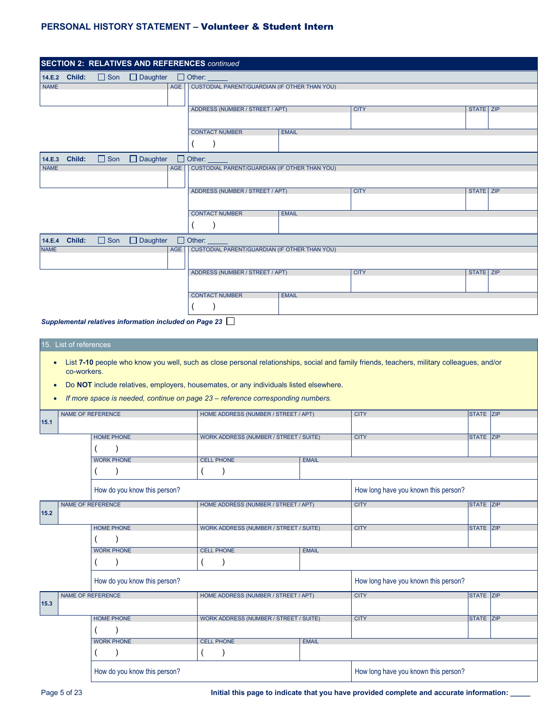|             |               |                            |     | <b>SECTION 2: RELATIVES AND REFERENCES continued</b> |              |             |           |
|-------------|---------------|----------------------------|-----|------------------------------------------------------|--------------|-------------|-----------|
|             | 14.E.2 Child: | □ Son □ Daughter           |     | $\Box$ Other: $\Box$                                 |              |             |           |
| <b>NAME</b> |               |                            |     | AGE   CUSTODIAL PARENT/GUARDIAN (IF OTHER THAN YOU)  |              |             |           |
|             |               |                            |     |                                                      |              |             |           |
|             |               |                            |     | ADDRESS (NUMBER / STREET / APT)                      |              | <b>CITY</b> | STATE ZIP |
|             |               |                            |     |                                                      |              |             |           |
|             |               |                            |     | <b>CONTACT NUMBER</b>                                | <b>EMAIL</b> |             |           |
|             |               |                            |     |                                                      |              |             |           |
| 14.E.3      | Child:        | $\Box$ Son $\Box$ Daughter |     | $\Box$ Other: $\Box$                                 |              |             |           |
| <b>NAME</b> |               |                            | AGE | CUSTODIAL PARENT/GUARDIAN (IF OTHER THAN YOU)        |              |             |           |
|             |               |                            |     |                                                      |              |             |           |
|             |               |                            |     | ADDRESS (NUMBER / STREET / APT)                      |              | <b>CITY</b> | STATE ZIP |
|             |               |                            |     |                                                      |              |             |           |
|             |               |                            |     | <b>CONTACT NUMBER</b>                                | <b>EMAIL</b> |             |           |
|             |               |                            |     |                                                      |              |             |           |
|             | 14.E.4 Child: | $\Box$ Son $\Box$ Daughter |     | $\Box$ Other:                                        |              |             |           |
| <b>NAME</b> |               |                            | AGE | CUSTODIAL PARENT/GUARDIAN (IF OTHER THAN YOU)        |              |             |           |
|             |               |                            |     |                                                      |              |             |           |
|             |               |                            |     | ADDRESS (NUMBER / STREET / APT)                      |              | <b>CITY</b> | STATE ZIP |
|             |               |                            |     |                                                      |              |             |           |
|             |               |                            |     | <b>CONTACT NUMBER</b>                                | <b>EMAIL</b> |             |           |
|             |               |                            |     |                                                      |              |             |           |
|             |               |                            |     | $\blacksquare$                                       |              |             |           |

*Supplemental relatives information included on Page 23*

#### 15. List of references

- List **7-10** people who know you well, such as close personal relationships, social and family friends, teachers, military colleagues, and/or co-workers.
- Do **NOT** include relatives, employers, housemates, or any individuals listed elsewhere.

WORK PHONE **CELL PHONE** EMAIL

 $($  )  $|($  )

• *If more space is needed, continue on page 23 – reference corresponding numbers.*

|      | NAME OF REFERENCE            |  |                   | HOME ADDRESS (NUMBER / STREET / APT)   |              | <b>CITY</b>                          | STATE ZIP        |  |
|------|------------------------------|--|-------------------|----------------------------------------|--------------|--------------------------------------|------------------|--|
| 15.1 |                              |  |                   |                                        |              |                                      |                  |  |
|      |                              |  | <b>HOME PHONE</b> | WORK ADDRESS (NUMBER / STREET / SUITE) |              | <b>CITY</b>                          | STATE ZIP        |  |
|      |                              |  |                   |                                        |              |                                      |                  |  |
|      |                              |  | <b>WORK PHONE</b> | <b>CELL PHONE</b>                      | <b>EMAIL</b> |                                      |                  |  |
|      |                              |  |                   |                                        |              |                                      |                  |  |
|      | How do you know this person? |  |                   |                                        |              | How long have you known this person? |                  |  |
| 15.2 | NAME OF REFERENCE            |  |                   | HOME ADDRESS (NUMBER / STREET / APT)   |              | <b>CITY</b>                          | <b>STATE ZIP</b> |  |
|      |                              |  |                   |                                        |              |                                      |                  |  |
|      |                              |  | <b>HOME PHONE</b> | WORK ADDRESS (NUMBER / STREET / SUITE) |              | <b>CITY</b>                          | <b>STATE ZIP</b> |  |
|      |                              |  |                   |                                        |              |                                      |                  |  |

| <b>WORK PHONE</b>            | <b>CELL PHONE</b>                      | <b>EMAIL</b> |                                      |                  |  |
|------------------------------|----------------------------------------|--------------|--------------------------------------|------------------|--|
|                              |                                        |              |                                      |                  |  |
| How do you know this person? |                                        |              | How long have you known this person? |                  |  |
| <b>NAME OF REFERENCE</b>     | HOME ADDRESS (NUMBER / STREET / APT)   |              | <b>CITY</b>                          | <b>STATE ZIP</b> |  |
|                              |                                        |              |                                      |                  |  |
| <b>HOME PHONE</b>            | WORK ADDRESS (NUMBER / STREET / SUITE) |              | <b>CITY</b>                          | <b>STATE ZIP</b> |  |

| How do you know this person? |  | How long have you known this person? |
|------------------------------|--|--------------------------------------|
|                              |  |                                      |

 $($   $)$ 

**15.3**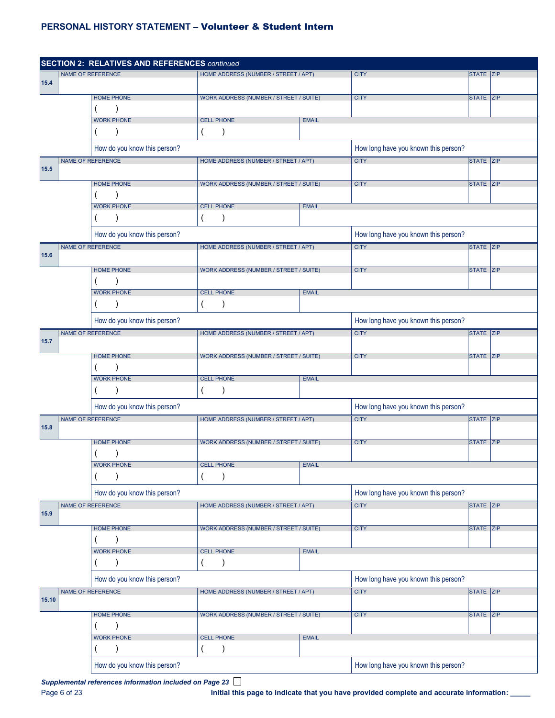|       |  | <b>SECTION 2: RELATIVES AND REFERENCES continued</b> |                                               |              |                                      |              |            |  |  |
|-------|--|------------------------------------------------------|-----------------------------------------------|--------------|--------------------------------------|--------------|------------|--|--|
|       |  | <b>NAME OF REFERENCE</b>                             | HOME ADDRESS (NUMBER / STREET / APT)          |              | <b>CITY</b>                          | STATE ZIP    |            |  |  |
| 15.4  |  |                                                      |                                               |              |                                      |              |            |  |  |
|       |  | <b>HOME PHONE</b>                                    | WORK ADDRESS (NUMBER / STREET / SUITE)        |              | <b>CITY</b>                          | STATE ZIP    |            |  |  |
|       |  |                                                      |                                               |              |                                      |              |            |  |  |
|       |  | <b>WORK PHONE</b>                                    | <b>CELL PHONE</b>                             | <b>EMAIL</b> |                                      |              |            |  |  |
|       |  |                                                      |                                               |              |                                      |              |            |  |  |
|       |  | How do you know this person?                         |                                               |              | How long have you known this person? |              |            |  |  |
| 15.5  |  | <b>NAME OF REFERENCE</b>                             | HOME ADDRESS (NUMBER / STREET / APT)          |              | <b>CITY</b>                          | STATE ZIP    |            |  |  |
|       |  |                                                      |                                               |              |                                      |              |            |  |  |
|       |  | <b>HOME PHONE</b>                                    | WORK ADDRESS (NUMBER / STREET / SUITE)        |              | <b>CITY</b>                          | STATE ZIP    |            |  |  |
|       |  |                                                      |                                               |              |                                      |              |            |  |  |
|       |  | <b>WORK PHONE</b>                                    | <b>CELL PHONE</b>                             | <b>EMAIL</b> |                                      |              |            |  |  |
|       |  |                                                      |                                               |              |                                      |              |            |  |  |
|       |  | How do you know this person?                         |                                               |              | How long have you known this person? |              |            |  |  |
| 15.6  |  | <b>NAME OF REFERENCE</b>                             | HOME ADDRESS (NUMBER / STREET / APT)          |              | <b>CITY</b>                          | <b>STATE</b> | <b>ZIP</b> |  |  |
|       |  | <b>HOME PHONE</b>                                    | <b>WORK ADDRESS (NUMBER / STREET / SUITE)</b> |              | <b>CITY</b>                          | STATE ZIP    |            |  |  |
|       |  |                                                      |                                               |              |                                      |              |            |  |  |
|       |  | <b>WORK PHONE</b>                                    | <b>CELL PHONE</b>                             | <b>EMAIL</b> |                                      |              |            |  |  |
|       |  |                                                      |                                               |              |                                      |              |            |  |  |
|       |  |                                                      |                                               |              |                                      |              |            |  |  |
|       |  | How do you know this person?                         |                                               |              | How long have you known this person? |              |            |  |  |
| 15.7  |  | NAME OF REFERENCE                                    | HOME ADDRESS (NUMBER / STREET / APT)          |              | <b>CITY</b>                          | STATE ZIP    |            |  |  |
|       |  | <b>HOME PHONE</b>                                    | WORK ADDRESS (NUMBER / STREET / SUITE)        |              | <b>CITY</b>                          | STATE ZIP    |            |  |  |
|       |  |                                                      |                                               |              |                                      |              |            |  |  |
|       |  | <b>WORK PHONE</b>                                    | <b>CELL PHONE</b>                             | <b>EMAIL</b> |                                      |              |            |  |  |
|       |  |                                                      |                                               |              |                                      |              |            |  |  |
|       |  |                                                      |                                               |              |                                      |              |            |  |  |
|       |  | How do you know this person?                         |                                               |              | How long have you known this person? |              |            |  |  |
| 15.8  |  | <b>NAME OF REFERENCE</b>                             | HOME ADDRESS (NUMBER / STREET / APT)          |              | <b>CITY</b>                          | STATE ZIP    |            |  |  |
|       |  |                                                      |                                               |              |                                      |              |            |  |  |
|       |  | <b>HOME PHONE</b>                                    | WORK ADDRESS (NUMBER / STREET / SUITE)        |              | <b>CITY</b>                          | STATE ZIP    |            |  |  |
|       |  |                                                      |                                               |              |                                      |              |            |  |  |
|       |  | <b>WORK PHONE</b>                                    | CELL PHONE                                    | EMAIL        |                                      |              |            |  |  |
|       |  |                                                      | (                                             |              |                                      |              |            |  |  |
|       |  | How do you know this person?                         |                                               |              | How long have you known this person? |              |            |  |  |
|       |  | NAME OF REFERENCE                                    | HOME ADDRESS (NUMBER / STREET / APT)          |              | <b>CITY</b>                          | STATE ZIP    |            |  |  |
| 15.9  |  |                                                      |                                               |              |                                      |              |            |  |  |
|       |  | <b>HOME PHONE</b>                                    | WORK ADDRESS (NUMBER / STREET / SUITE)        |              | <b>CITY</b>                          | STATE ZIP    |            |  |  |
|       |  |                                                      |                                               |              |                                      |              |            |  |  |
|       |  | <b>WORK PHONE</b>                                    | <b>CELL PHONE</b>                             | <b>EMAIL</b> |                                      |              |            |  |  |
|       |  |                                                      |                                               |              |                                      |              |            |  |  |
|       |  | How do you know this person?                         |                                               |              | How long have you known this person? |              |            |  |  |
|       |  | NAME OF REFERENCE                                    | HOME ADDRESS (NUMBER / STREET / APT)          |              | <b>CITY</b>                          | STATE ZIP    |            |  |  |
| 15.10 |  |                                                      |                                               |              |                                      |              |            |  |  |
|       |  | <b>HOME PHONE</b>                                    | <b>WORK ADDRESS (NUMBER / STREET / SUITE)</b> |              | <b>CITY</b>                          | STATE ZIP    |            |  |  |
|       |  |                                                      |                                               |              |                                      |              |            |  |  |
|       |  | <b>WORK PHONE</b>                                    | <b>CELL PHONE</b>                             | <b>EMAIL</b> |                                      |              |            |  |  |
|       |  |                                                      |                                               |              |                                      |              |            |  |  |
|       |  | How do you know this person?                         |                                               |              | How long have you known this person? |              |            |  |  |

*Supplemental references information included on Page 23*

Page 6 of 23 **Initial this page to indicate that you have provided complete and accurate information: \_\_\_\_\_**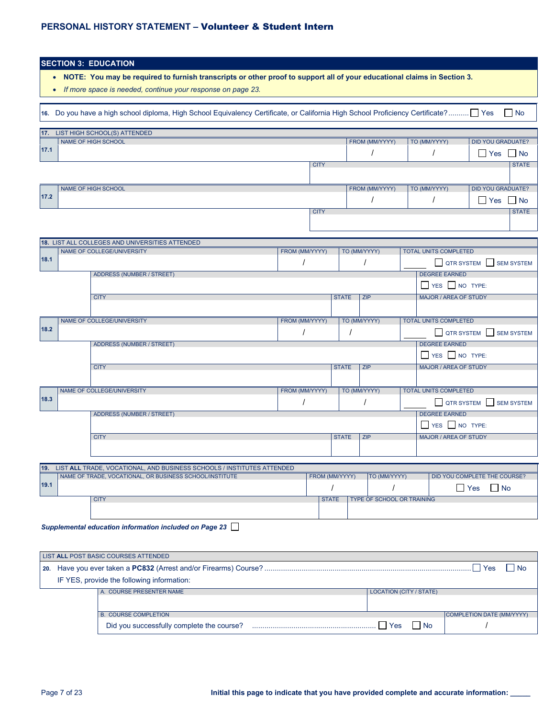|              | <b>SECTION 3: EDUCATION</b>                                                                                                        |                |                |              |                                   |                                              |                              |                   |
|--------------|------------------------------------------------------------------------------------------------------------------------------------|----------------|----------------|--------------|-----------------------------------|----------------------------------------------|------------------------------|-------------------|
| $\bullet$    | NOTE: You may be required to furnish transcripts or other proof to support all of your educational claims in Section 3.            |                |                |              |                                   |                                              |                              |                   |
|              | If more space is needed, continue your response on page 23.                                                                        |                |                |              |                                   |                                              |                              |                   |
|              |                                                                                                                                    |                |                |              |                                   |                                              |                              |                   |
|              | 16. Do you have a high school diploma, High School Equivalency Certificate, or California High School Proficiency Certificate? Yes |                |                |              |                                   |                                              |                              | $\Box$ No         |
| $\boxed{17}$ | LIST HIGH SCHOOL(S) ATTENDED                                                                                                       |                |                |              |                                   |                                              |                              |                   |
| 17.1         | NAME OF HIGH SCHOOL                                                                                                                |                |                |              | FROM (MM/YYYY)                    | TO (MM/YYYY)                                 | <b>DID YOU GRADUATE?</b>     |                   |
|              |                                                                                                                                    |                |                |              |                                   |                                              | $\Box$ Yes                   | $\mathsf{N}$      |
|              |                                                                                                                                    |                | <b>CITY</b>    |              |                                   |                                              |                              | <b>STATE</b>      |
|              |                                                                                                                                    |                |                |              |                                   |                                              |                              |                   |
| 17.2         | NAME OF HIGH SCHOOL                                                                                                                |                |                |              | FROM (MM/YYYY)                    | TO (MM/YYYY)                                 | <b>DID YOU GRADUATE?</b>     |                   |
|              |                                                                                                                                    |                | <b>CITY</b>    |              |                                   | I                                            | $\Box$ Yes $\Box$ No         | <b>STATE</b>      |
|              |                                                                                                                                    |                |                |              |                                   |                                              |                              |                   |
|              |                                                                                                                                    |                |                |              |                                   |                                              |                              |                   |
|              | 18. LIST ALL COLLEGES AND UNIVERSITIES ATTENDED                                                                                    |                |                |              |                                   |                                              |                              |                   |
| 18.1         | NAME OF COLLEGE/UNIVERSITY                                                                                                         | FROM (MM/YYYY) |                |              | TO (MM/YYYY)                      | <b>TOTAL UNITS COMPLETED</b>                 |                              |                   |
|              |                                                                                                                                    |                |                |              |                                   |                                              | QTR SYSTEM SEM SYSTEM        |                   |
|              | <b>ADDRESS (NUMBER / STREET)</b>                                                                                                   |                |                |              |                                   | <b>DEGREE EARNED</b>                         |                              |                   |
|              |                                                                                                                                    |                |                |              |                                   | YES NO TYPE:<br><b>MAJOR / AREA OF STUDY</b> |                              |                   |
|              | <b>CITY</b>                                                                                                                        |                |                | <b>STATE</b> | <b>ZIP</b>                        |                                              |                              |                   |
|              | NAME OF COLLEGE/UNIVERSITY                                                                                                         | FROM (MM/YYYY) |                |              | TO (MM/YYYY)                      | <b>TOTAL UNITS COMPLETED</b>                 |                              |                   |
| 18.2         |                                                                                                                                    |                |                |              |                                   |                                              | QTR SYSTEM SEM SYSTEM        |                   |
|              | <b>ADDRESS (NUMBER / STREET)</b>                                                                                                   |                |                |              |                                   | <b>DEGREE EARNED</b>                         |                              |                   |
|              |                                                                                                                                    |                |                |              |                                   | $\Box$ YES $\Box$ NO TYPE:                   |                              |                   |
|              | <b>CITY</b>                                                                                                                        |                |                | <b>STATE</b> | <b>ZIP</b>                        | <b>MAJOR / AREA OF STUDY</b>                 |                              |                   |
|              |                                                                                                                                    |                |                |              |                                   |                                              |                              |                   |
|              | NAME OF COLLEGE/UNIVERSITY                                                                                                         | FROM (MM/YYYY) |                |              | TO (MM/YYYY)                      | <b>TOTAL UNITS COMPLETED</b>                 |                              |                   |
| 18.3         |                                                                                                                                    |                |                |              |                                   | <b>QTR SYSTEM</b>                            |                              | <b>SEM SYSTEM</b> |
|              | <b>ADDRESS (NUMBER / STREET)</b>                                                                                                   |                |                |              |                                   | <b>DEGREE EARNED</b>                         |                              |                   |
|              |                                                                                                                                    |                |                |              |                                   | YES NO TYPE:                                 |                              |                   |
|              | <b>CITY</b>                                                                                                                        |                |                | <b>STATE</b> | ZIP                               | <b>MAJOR / AREA OF STUDY</b>                 |                              |                   |
|              |                                                                                                                                    |                |                |              |                                   |                                              |                              |                   |
| 19.          | LIST ALL TRADE, VOCATIONAL, AND BUSINESS SCHOOLS / INSTITUTES ATTENDED                                                             |                |                |              |                                   |                                              |                              |                   |
|              | NAME OF TRADE, VOCATIONAL, OR BUSINESS SCHOOL/INSTITUTE                                                                            |                | FROM (MM/YYYY) |              | TO (MM/YYYY)                      |                                              | DID YOU COMPLETE THE COURSE? |                   |
| 19.1         |                                                                                                                                    |                |                |              |                                   |                                              | $\Box$ Yes<br>$\Box$ No      |                   |
|              | <b>CITY</b>                                                                                                                        |                | <b>STATE</b>   |              | <b>TYPE OF SCHOOL OR TRAINING</b> |                                              |                              |                   |
|              |                                                                                                                                    |                |                |              |                                   |                                              |                              |                   |
|              | Supplemental education information included on Page 23                                                                             |                |                |              |                                   |                                              |                              |                   |

|  | LIST ALL POST BASIC COURSES ATTENDED                                                               |                                |                           |
|--|----------------------------------------------------------------------------------------------------|--------------------------------|---------------------------|
|  | 20. Have you ever taken a PC832 (Arrest and/or Firearms) Course? ……………………………………………………………………………………… |                                | l Yes<br>l No             |
|  | IF YES, provide the following information:                                                         |                                |                           |
|  | A. COURSE PRESENTER NAME                                                                           | <b>LOCATION (CITY / STATE)</b> |                           |
|  |                                                                                                    |                                |                           |
|  | <b>B. COURSE COMPLETION</b>                                                                        |                                | COMPLETION DATE (MM/YYYY) |
|  |                                                                                                    | Yes<br>l No                    |                           |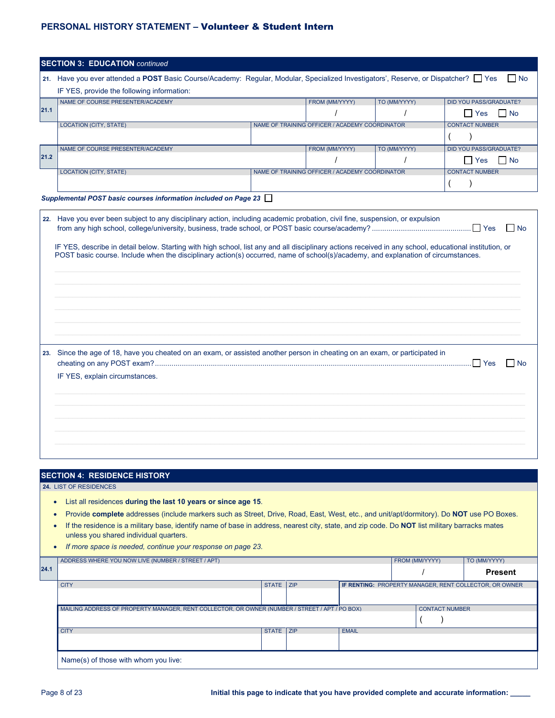|                                                  | <b>SECTION 3: EDUCATION continued</b>                                                                                                                                                                                                                                                                                                                                                                                                                                                                                                                       |              |            |                                                |              |                                                        |                                     |              |                                       |
|--------------------------------------------------|-------------------------------------------------------------------------------------------------------------------------------------------------------------------------------------------------------------------------------------------------------------------------------------------------------------------------------------------------------------------------------------------------------------------------------------------------------------------------------------------------------------------------------------------------------------|--------------|------------|------------------------------------------------|--------------|--------------------------------------------------------|-------------------------------------|--------------|---------------------------------------|
|                                                  | 21. Have you ever attended a POST Basic Course/Academy: Regular, Modular, Specialized Investigators', Reserve, or Dispatcher? Yes                                                                                                                                                                                                                                                                                                                                                                                                                           |              |            |                                                |              |                                                        |                                     |              | l No                                  |
|                                                  | IF YES, provide the following information:                                                                                                                                                                                                                                                                                                                                                                                                                                                                                                                  |              |            |                                                |              |                                                        |                                     |              |                                       |
| 21.1                                             | NAME OF COURSE PRESENTER/ACADEMY                                                                                                                                                                                                                                                                                                                                                                                                                                                                                                                            |              |            | FROM (MM/YYYY)                                 | TO (MM/YYYY) |                                                        | DID YOU PASS/GRADUATE?              |              |                                       |
|                                                  | <b>LOCATION (CITY, STATE)</b>                                                                                                                                                                                                                                                                                                                                                                                                                                                                                                                               |              |            | NAME OF TRAINING OFFICER / ACADEMY COORDINATOR |              |                                                        | $\Box$ Yes<br><b>CONTACT NUMBER</b> |              | $\Box$ No                             |
|                                                  |                                                                                                                                                                                                                                                                                                                                                                                                                                                                                                                                                             |              |            |                                                |              |                                                        |                                     |              |                                       |
|                                                  | NAME OF COURSE PRESENTER/ACADEMY                                                                                                                                                                                                                                                                                                                                                                                                                                                                                                                            |              |            | FROM (MM/YYYY)                                 | TO (MM/YYYY) |                                                        | <b>DID YOU PASS/GRADUATE?</b>       |              |                                       |
| 21.2                                             |                                                                                                                                                                                                                                                                                                                                                                                                                                                                                                                                                             |              |            |                                                |              |                                                        | $\Box$ Yes                          |              | No                                    |
|                                                  | <b>LOCATION (CITY, STATE)</b>                                                                                                                                                                                                                                                                                                                                                                                                                                                                                                                               |              |            | NAME OF TRAINING OFFICER / ACADEMY COORDINATOR |              |                                                        | <b>CONTACT NUMBER</b>               |              |                                       |
|                                                  |                                                                                                                                                                                                                                                                                                                                                                                                                                                                                                                                                             |              |            |                                                |              |                                                        |                                     |              |                                       |
|                                                  | Supplemental POST basic courses information included on Page 23                                                                                                                                                                                                                                                                                                                                                                                                                                                                                             |              |            |                                                |              |                                                        |                                     |              |                                       |
|                                                  | 22. Have you ever been subject to any disciplinary action, including academic probation, civil fine, suspension, or expulsion<br>IF YES, describe in detail below. Starting with high school, list any and all disciplinary actions received in any school, educational institution, or<br>POST basic course. Include when the disciplinary action(s) occurred, name of school(s)/academy, and explanation of circumstances.<br>23. Since the age of 18, have you cheated on an exam, or assisted another person in cheating on an exam, or participated in |              |            |                                                |              |                                                        |                                     |              | $\overline{\phantom{a}}$ No<br>– I No |
|                                                  | IF YES, explain circumstances.                                                                                                                                                                                                                                                                                                                                                                                                                                                                                                                              |              |            |                                                |              |                                                        |                                     |              |                                       |
|                                                  | <b>SECTION 4: RESIDENCE HISTORY</b>                                                                                                                                                                                                                                                                                                                                                                                                                                                                                                                         |              |            |                                                |              |                                                        |                                     |              |                                       |
| $\bullet$<br>$\bullet$<br>$\bullet$<br>$\bullet$ | 24. LIST OF RESIDENCES<br>List all residences during the last 10 years or since age 15.<br>Provide complete addresses (include markers such as Street, Drive, Road, East, West, etc., and unit/apt/dormitory). Do NOT use PO Boxes.<br>If the residence is a military base, identify name of base in address, nearest city, state, and zip code. Do NOT list military barracks mates<br>unless you shared individual quarters.<br>If more space is needed, continue your response on page 23.                                                               |              |            |                                                |              |                                                        |                                     |              |                                       |
| 24.1                                             | ADDRESS WHERE YOU NOW LIVE (NUMBER / STREET / APT)                                                                                                                                                                                                                                                                                                                                                                                                                                                                                                          |              |            |                                                |              | FROM (MM/YYYY)                                         |                                     | TO (MM/YYYY) |                                       |
|                                                  | <b>CITY</b>                                                                                                                                                                                                                                                                                                                                                                                                                                                                                                                                                 | <b>STATE</b> | <b>ZIP</b> |                                                |              | IF RENTING: PROPERTY MANAGER, RENT COLLECTOR, OR OWNER |                                     |              | <b>Present</b>                        |
|                                                  |                                                                                                                                                                                                                                                                                                                                                                                                                                                                                                                                                             |              |            |                                                |              |                                                        |                                     |              |                                       |
|                                                  | MAILING ADDRESS OF PROPERTY MANAGER, RENT COLLECTOR, OR OWNER (NUMBER / STREET / APT / PO BOX)                                                                                                                                                                                                                                                                                                                                                                                                                                                              |              |            |                                                |              | <b>CONTACT NUMBER</b>                                  |                                     |              |                                       |
|                                                  |                                                                                                                                                                                                                                                                                                                                                                                                                                                                                                                                                             |              |            |                                                |              |                                                        |                                     |              |                                       |
|                                                  | <b>CITY</b>                                                                                                                                                                                                                                                                                                                                                                                                                                                                                                                                                 | STATE ZIP    |            | <b>EMAIL</b>                                   |              |                                                        |                                     |              |                                       |
|                                                  | Name(s) of those with whom you live:                                                                                                                                                                                                                                                                                                                                                                                                                                                                                                                        |              |            |                                                |              |                                                        |                                     |              |                                       |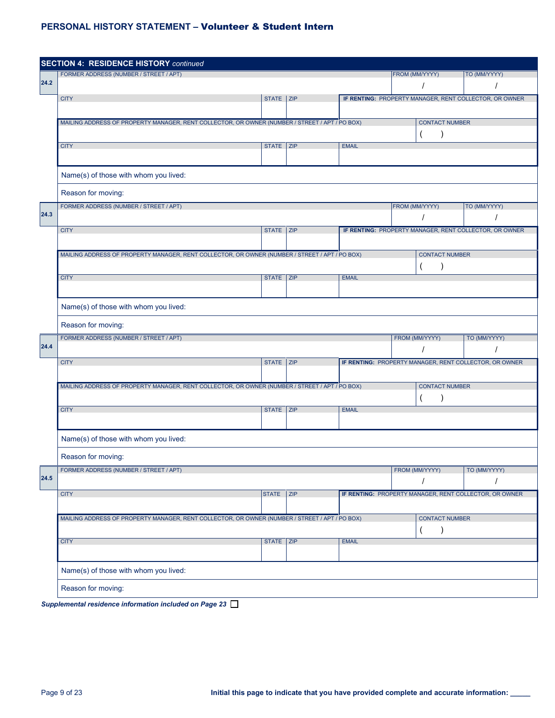|      | <b>SECTION 4: RESIDENCE HISTORY continued</b>                                                  |              |     |              |                |                       |                                                        |  |  |  |
|------|------------------------------------------------------------------------------------------------|--------------|-----|--------------|----------------|-----------------------|--------------------------------------------------------|--|--|--|
|      | FORMER ADDRESS (NUMBER / STREET / APT)                                                         |              |     |              | FROM (MM/YYYY) |                       | TO (MM/YYYY)                                           |  |  |  |
| 24.2 |                                                                                                |              |     |              |                |                       |                                                        |  |  |  |
|      | <b>CITY</b>                                                                                    | STATE ZIP    |     |              |                |                       | IF RENTING: PROPERTY MANAGER, RENT COLLECTOR, OR OWNER |  |  |  |
|      |                                                                                                |              |     |              |                |                       |                                                        |  |  |  |
|      | MAILING ADDRESS OF PROPERTY MANAGER, RENT COLLECTOR, OR OWNER (NUMBER / STREET / APT / PO BOX) |              |     |              |                | <b>CONTACT NUMBER</b> |                                                        |  |  |  |
|      |                                                                                                |              |     |              |                |                       |                                                        |  |  |  |
|      | <b>CITY</b>                                                                                    | STATE ZIP    |     | <b>EMAIL</b> |                |                       |                                                        |  |  |  |
|      |                                                                                                |              |     |              |                |                       |                                                        |  |  |  |
|      | Name(s) of those with whom you lived:                                                          |              |     |              |                |                       |                                                        |  |  |  |
|      | Reason for moving:                                                                             |              |     |              |                |                       |                                                        |  |  |  |
|      | FORMER ADDRESS (NUMBER / STREET / APT)                                                         |              |     |              | FROM (MM/YYYY) |                       | TO (MM/YYYY)                                           |  |  |  |
| 24.3 |                                                                                                |              |     |              |                |                       |                                                        |  |  |  |
|      | <b>CITY</b>                                                                                    | STATE ZIP    |     |              |                |                       | IF RENTING: PROPERTY MANAGER, RENT COLLECTOR, OR OWNER |  |  |  |
|      |                                                                                                |              |     |              |                |                       |                                                        |  |  |  |
|      | MAILING ADDRESS OF PROPERTY MANAGER, RENT COLLECTOR, OR OWNER (NUMBER / STREET / APT / PO BOX) |              |     |              |                | <b>CONTACT NUMBER</b> |                                                        |  |  |  |
|      |                                                                                                |              |     |              |                |                       |                                                        |  |  |  |
|      | <b>CITY</b>                                                                                    | STATE ZIP    |     | <b>EMAIL</b> |                |                       |                                                        |  |  |  |
|      |                                                                                                |              |     |              |                |                       |                                                        |  |  |  |
|      | Name(s) of those with whom you lived:                                                          |              |     |              |                |                       |                                                        |  |  |  |
|      | Reason for moving:                                                                             |              |     |              |                |                       |                                                        |  |  |  |
|      | FORMER ADDRESS (NUMBER / STREET / APT)                                                         |              |     |              |                | FROM (MM/YYYY)        | TO (MM/YYYY)                                           |  |  |  |
| 24.4 |                                                                                                |              |     |              |                |                       |                                                        |  |  |  |
|      | <b>CITY</b>                                                                                    | STATE ZIP    |     |              |                |                       | IF RENTING: PROPERTY MANAGER, RENT COLLECTOR, OR OWNER |  |  |  |
|      |                                                                                                |              |     |              |                |                       |                                                        |  |  |  |
|      | MAILING ADDRESS OF PROPERTY MANAGER, RENT COLLECTOR, OR OWNER (NUMBER / STREET / APT / PO BOX) |              |     |              |                | <b>CONTACT NUMBER</b> |                                                        |  |  |  |
|      |                                                                                                |              |     |              |                | $\lambda$             |                                                        |  |  |  |
|      | <b>CITY</b>                                                                                    | STATE ZIP    |     | <b>EMAIL</b> |                |                       |                                                        |  |  |  |
|      |                                                                                                |              |     |              |                |                       |                                                        |  |  |  |
|      | Name(s) of those with whom you lived:                                                          |              |     |              |                |                       |                                                        |  |  |  |
|      | Reason for moving:                                                                             |              |     |              |                |                       |                                                        |  |  |  |
|      | FORMER ADDRESS (NUMBER / STREET / APT)                                                         |              |     |              |                | FROM (MM/YYYY)        | TO (MM/YYYY)                                           |  |  |  |
| 24.5 |                                                                                                |              |     |              |                |                       |                                                        |  |  |  |
|      | <b>CITY</b>                                                                                    | <b>STATE</b> | ZIP |              |                |                       | IF RENTING: PROPERTY MANAGER, RENT COLLECTOR, OR OWNER |  |  |  |
|      |                                                                                                |              |     |              |                |                       |                                                        |  |  |  |
|      | MAILING ADDRESS OF PROPERTY MANAGER, RENT COLLECTOR, OR OWNER (NUMBER / STREET / APT / PO BOX) |              |     |              |                | <b>CONTACT NUMBER</b> |                                                        |  |  |  |
|      |                                                                                                |              |     |              |                |                       |                                                        |  |  |  |
|      | <b>CITY</b>                                                                                    | STATE ZIP    |     | <b>EMAIL</b> |                |                       |                                                        |  |  |  |
|      |                                                                                                |              |     |              |                |                       |                                                        |  |  |  |
|      | Name(s) of those with whom you lived:                                                          |              |     |              |                |                       |                                                        |  |  |  |
|      | Reason for moving:                                                                             |              |     |              |                |                       |                                                        |  |  |  |
|      | Supplemental residence information included on Page 23                                         |              |     |              |                |                       |                                                        |  |  |  |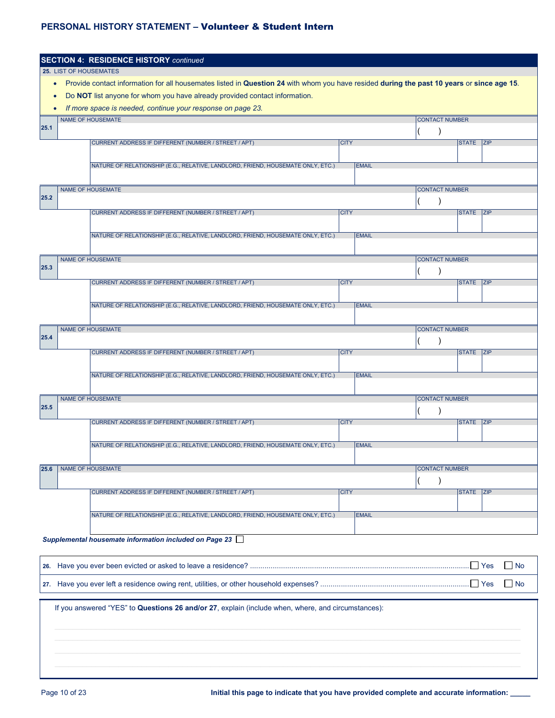|           |                        | <b>SECTION 4: RESIDENCE HISTORY continued</b>                                                                                             |              |                       |                      |
|-----------|------------------------|-------------------------------------------------------------------------------------------------------------------------------------------|--------------|-----------------------|----------------------|
|           | 25. LIST OF HOUSEMATES |                                                                                                                                           |              |                       |                      |
| $\bullet$ |                        | Provide contact information for all housemates listed in Question 24 with whom you have resided during the past 10 years or since age 15. |              |                       |                      |
| $\bullet$ |                        | Do NOT list anyone for whom you have already provided contact information.                                                                |              |                       |                      |
| $\bullet$ |                        | If more space is needed, continue your response on page 23.                                                                               |              |                       |                      |
| 25.1      |                        | <b>NAME OF HOUSEMATE</b>                                                                                                                  |              | <b>CONTACT NUMBER</b> |                      |
|           |                        |                                                                                                                                           |              |                       |                      |
|           |                        | CURRENT ADDRESS IF DIFFERENT (NUMBER / STREET / APT)                                                                                      | <b>CITY</b>  |                       | STATE ZIP            |
|           |                        | NATURE OF RELATIONSHIP (E.G., RELATIVE, LANDLORD, FRIEND, HOUSEMATE ONLY, ETC.)                                                           | <b>EMAIL</b> |                       |                      |
|           |                        |                                                                                                                                           |              |                       |                      |
|           |                        | <b>NAME OF HOUSEMATE</b>                                                                                                                  |              | <b>CONTACT NUMBER</b> |                      |
| 25.2      |                        |                                                                                                                                           |              |                       |                      |
|           |                        | CURRENT ADDRESS IF DIFFERENT (NUMBER / STREET / APT)                                                                                      | <b>CITY</b>  |                       | STATE ZIP            |
|           |                        |                                                                                                                                           |              |                       |                      |
|           |                        | NATURE OF RELATIONSHIP (E.G., RELATIVE, LANDLORD, FRIEND, HOUSEMATE ONLY, ETC.)                                                           | <b>EMAIL</b> |                       |                      |
|           |                        |                                                                                                                                           |              |                       |                      |
|           |                        | <b>NAME OF HOUSEMATE</b>                                                                                                                  |              | <b>CONTACT NUMBER</b> |                      |
| 25.3      |                        |                                                                                                                                           |              |                       |                      |
|           |                        | CURRENT ADDRESS IF DIFFERENT (NUMBER / STREET / APT)                                                                                      | <b>CITY</b>  |                       | <b>STATE</b><br> Z P |
|           |                        |                                                                                                                                           |              |                       |                      |
|           |                        | NATURE OF RELATIONSHIP (E.G., RELATIVE, LANDLORD, FRIEND, HOUSEMATE ONLY, ETC.)                                                           | <b>EMAIL</b> |                       |                      |
|           |                        | <b>NAME OF HOUSEMATE</b>                                                                                                                  |              | <b>CONTACT NUMBER</b> |                      |
| 25.4      |                        |                                                                                                                                           |              |                       |                      |
|           |                        | CURRENT ADDRESS IF DIFFERENT (NUMBER / STREET / APT)                                                                                      | <b>CITY</b>  |                       | STATE ZIP            |
|           |                        |                                                                                                                                           |              |                       |                      |
|           |                        | NATURE OF RELATIONSHIP (E.G., RELATIVE, LANDLORD, FRIEND, HOUSEMATE ONLY, ETC.)                                                           | <b>EMAIL</b> |                       |                      |
|           |                        |                                                                                                                                           |              |                       |                      |
|           |                        | <b>NAME OF HOUSEMATE</b>                                                                                                                  |              | <b>CONTACT NUMBER</b> |                      |
| 25.5      |                        |                                                                                                                                           |              |                       |                      |
|           |                        | CURRENT ADDRESS IF DIFFERENT (NUMBER / STREET / APT)                                                                                      | <b>CITY</b>  |                       | STATE ZIP            |
|           |                        |                                                                                                                                           |              |                       |                      |
|           |                        | NATURE OF RELATIONSHIP (E.G., RELATIVE, LANDLORD, FRIEND, HOUSEMATE ONLY, ETC.)                                                           | <b>EMAIL</b> |                       |                      |
|           |                        |                                                                                                                                           |              |                       |                      |
| 25.6      |                        | NAME OF HOUSEMATE                                                                                                                         |              | <b>CONTACT NUMBER</b> |                      |
|           |                        | CURRENT ADDRESS IF DIFFERENT (NUMBER / STREET / APT)                                                                                      | <b>CITY</b>  |                       | STATE ZIP            |
|           |                        |                                                                                                                                           |              |                       |                      |
|           |                        | NATURE OF RELATIONSHIP (E.G., RELATIVE, LANDLORD, FRIEND, HOUSEMATE ONLY, ETC.)                                                           | <b>EMAIL</b> |                       |                      |
|           |                        |                                                                                                                                           |              |                       |                      |
|           |                        | Supplemental housemate information included on Page 23                                                                                    |              |                       |                      |
|           |                        |                                                                                                                                           |              |                       |                      |
|           |                        |                                                                                                                                           |              |                       | $\Box$ Yes<br>l No   |
|           |                        |                                                                                                                                           |              |                       |                      |
|           |                        |                                                                                                                                           |              |                       | Yes<br>  No          |
|           |                        |                                                                                                                                           |              |                       |                      |
|           |                        | If you answered "YES" to Questions 26 and/or 27, explain (include when, where, and circumstances):                                        |              |                       |                      |
|           |                        |                                                                                                                                           |              |                       |                      |
|           |                        |                                                                                                                                           |              |                       |                      |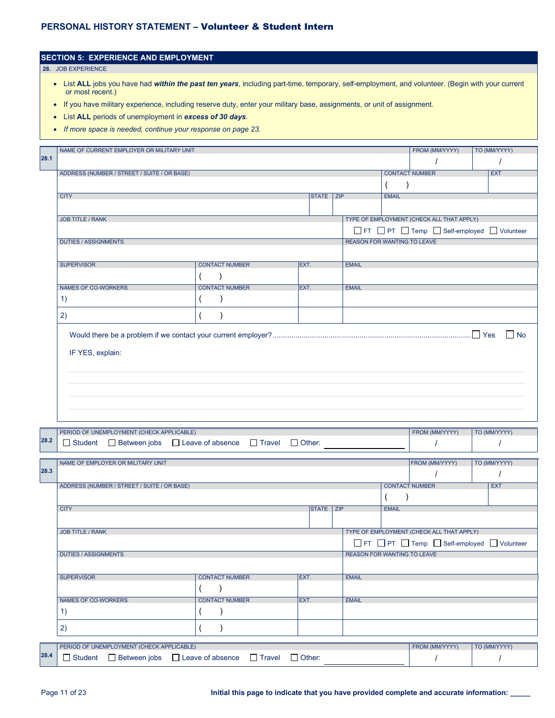|      | or most recent.)<br>List ALL periods of unemployment in excess of 30 days.<br>If more space is needed, continue your response on page 23. | If you have military experience, including reserve duty, enter your military base, assignments, or unit of assignment. |      |              |                                    |                                                                                 |                       |  |              |
|------|-------------------------------------------------------------------------------------------------------------------------------------------|------------------------------------------------------------------------------------------------------------------------|------|--------------|------------------------------------|---------------------------------------------------------------------------------|-----------------------|--|--------------|
| 28.1 | NAME OF CURRENT EMPLOYER OR MILITARY UNIT                                                                                                 |                                                                                                                        |      |              |                                    |                                                                                 | FROM (MM/YYYY)        |  | TO (MM/YYYY) |
|      | ADDRESS (NUMBER / STREET / SUITE / OR BASE)                                                                                               |                                                                                                                        |      |              |                                    |                                                                                 | <b>CONTACT NUMBER</b> |  | <b>EXT</b>   |
|      | <b>CITY</b>                                                                                                                               |                                                                                                                        |      | <b>STATE</b> | ZIP                                | <b>EMAIL</b>                                                                    |                       |  |              |
|      | <b>JOB TITLE / RANK</b>                                                                                                                   |                                                                                                                        |      |              |                                    | TYPE OF EMPLOYMENT (CHECK ALL THAT APPLY)<br>FT PT Temp Self-employed Volunteer |                       |  |              |
|      | <b>DUTIES / ASSIGNMENTS</b>                                                                                                               |                                                                                                                        |      |              | <b>REASON FOR WANTING TO LEAVE</b> |                                                                                 |                       |  |              |
|      | <b>SUPERVISOR</b>                                                                                                                         | <b>CONTACT NUMBER</b>                                                                                                  | EXT. |              | <b>EMAIL</b>                       |                                                                                 |                       |  |              |
|      | <b>NAMES OF CO-WORKERS</b><br>1)                                                                                                          | <b>CONTACT NUMBER</b>                                                                                                  | EXT. |              | <b>EMAIL</b>                       |                                                                                 |                       |  |              |
|      | 2)                                                                                                                                        |                                                                                                                        |      |              |                                    |                                                                                 |                       |  |              |
|      | IF YES, explain:                                                                                                                          |                                                                                                                        |      |              |                                    |                                                                                 |                       |  | $\Box$ No    |

|      |                                                                                                                    | PERIOD OF UNEMPLOYMENT (CHECK APPLICABLE)            |  |                       |  |               |                  |                                    |              | FROM (MM/YYYY)                            | TO (MM/YYYY) |
|------|--------------------------------------------------------------------------------------------------------------------|------------------------------------------------------|--|-----------------------|--|---------------|------------------|------------------------------------|--------------|-------------------------------------------|--------------|
| 28.2 |                                                                                                                    | □ Student □ Between jobs □ Leave of absence □ Travel |  |                       |  | $\Box$ Other: |                  |                                    |              |                                           |              |
|      |                                                                                                                    | NAME OF EMPLOYER OR MILITARY UNIT                    |  |                       |  |               |                  |                                    |              | FROM (MM/YYYY)                            | TO (MM/YYYY) |
| 28.3 |                                                                                                                    |                                                      |  |                       |  |               |                  |                                    |              |                                           |              |
|      |                                                                                                                    | ADDRESS (NUMBER / STREET / SUITE / OR BASE)          |  |                       |  |               |                  |                                    |              | <b>CONTACT NUMBER</b>                     | <b>EXT</b>   |
|      |                                                                                                                    |                                                      |  |                       |  |               |                  |                                    |              |                                           |              |
|      | <b>CITY</b>                                                                                                        |                                                      |  |                       |  |               | <b>STATE ZIP</b> |                                    | <b>EMAIL</b> |                                           |              |
|      | <b>JOB TITLE / RANK</b>                                                                                            |                                                      |  |                       |  |               |                  |                                    |              | TYPE OF EMPLOYMENT (CHECK ALL THAT APPLY) |              |
|      |                                                                                                                    |                                                      |  |                       |  |               |                  |                                    |              | FT PT Temp Self-employed Volunteer        |              |
|      | <b>DUTIES / ASSIGNMENTS</b>                                                                                        |                                                      |  |                       |  |               |                  | <b>REASON FOR WANTING TO LEAVE</b> |              |                                           |              |
|      |                                                                                                                    |                                                      |  |                       |  |               |                  |                                    |              |                                           |              |
|      | <b>SUPERVISOR</b>                                                                                                  |                                                      |  | <b>CONTACT NUMBER</b> |  | <b>IEXT.</b>  |                  | <b>EMAIL</b>                       |              |                                           |              |
|      |                                                                                                                    |                                                      |  |                       |  |               |                  |                                    |              |                                           |              |
|      | <b>NAMES OF CO-WORKERS</b>                                                                                         |                                                      |  | <b>CONTACT NUMBER</b> |  | EXT.          |                  | <b>EMAIL</b>                       |              |                                           |              |
|      | $\left( \begin{matrix} 1 \end{matrix} \right)$                                                                     |                                                      |  |                       |  |               |                  |                                    |              |                                           |              |
|      | 2)                                                                                                                 |                                                      |  |                       |  |               |                  |                                    |              |                                           |              |
|      |                                                                                                                    |                                                      |  |                       |  |               |                  |                                    |              | FROM (MM/YYYY)                            | TO (MM/YYYY) |
| 28.4 | PERIOD OF UNEMPLOYMENT (CHECK APPLICABLE)<br>□ Student □ Between jobs □ Leave of absence □ Travel<br>$\Box$ Other: |                                                      |  |                       |  |               |                  |                                    |              |                                           |              |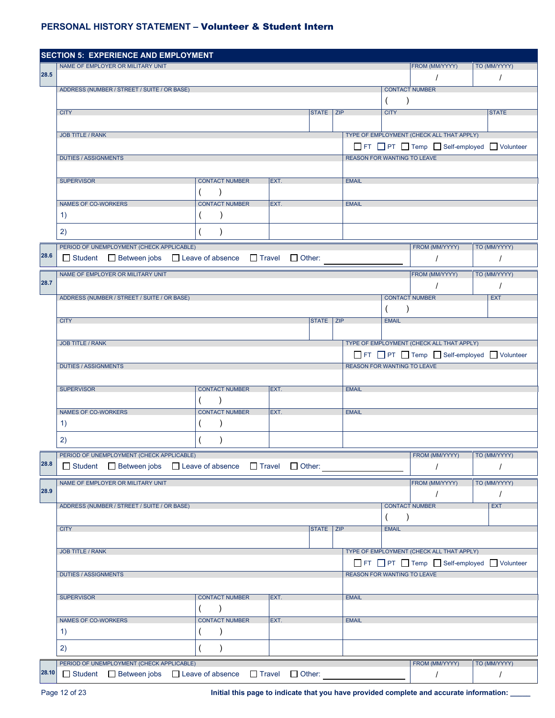|       | <b>SECTION 5: EXPERIENCE AND EMPLOYMENT</b>                   |                       |               |           |                                    |              |                                              |              |  |  |
|-------|---------------------------------------------------------------|-----------------------|---------------|-----------|------------------------------------|--------------|----------------------------------------------|--------------|--|--|
|       | NAME OF EMPLOYER OR MILITARY UNIT                             |                       |               |           |                                    |              | FROM (MM/YYYY)                               | TO (MM/YYYY) |  |  |
| 28.5  |                                                               |                       |               |           |                                    |              |                                              |              |  |  |
|       | ADDRESS (NUMBER / STREET / SUITE / OR BASE)                   |                       |               |           |                                    |              | <b>CONTACT NUMBER</b>                        |              |  |  |
|       |                                                               |                       |               |           |                                    |              |                                              |              |  |  |
|       | <b>CITY</b>                                                   |                       |               | STATE ZIP |                                    | <b>CITY</b>  |                                              | <b>STATE</b> |  |  |
|       |                                                               |                       |               |           |                                    |              |                                              |              |  |  |
|       | <b>JOB TITLE / RANK</b>                                       |                       |               |           |                                    |              | TYPE OF EMPLOYMENT (CHECK ALL THAT APPLY)    |              |  |  |
|       |                                                               |                       |               |           |                                    |              | FT PT Temp Self-employed Volunteer           |              |  |  |
|       | <b>DUTIES / ASSIGNMENTS</b>                                   |                       |               |           | <b>REASON FOR WANTING TO LEAVE</b> |              |                                              |              |  |  |
|       |                                                               |                       |               |           |                                    |              |                                              |              |  |  |
|       |                                                               |                       |               |           |                                    |              |                                              |              |  |  |
|       | <b>SUPERVISOR</b>                                             | <b>CONTACT NUMBER</b> | EXT.          |           | <b>EMAIL</b>                       |              |                                              |              |  |  |
|       |                                                               |                       |               |           |                                    |              |                                              |              |  |  |
|       | NAMES OF CO-WORKERS                                           | <b>CONTACT NUMBER</b> | EXT.          |           | <b>EMAIL</b>                       |              |                                              |              |  |  |
|       | $\left( \begin{matrix} 1 \end{matrix} \right)$                |                       |               |           |                                    |              |                                              |              |  |  |
|       | 2)                                                            |                       |               |           |                                    |              |                                              |              |  |  |
|       |                                                               |                       |               |           |                                    |              |                                              |              |  |  |
|       | PERIOD OF UNEMPLOYMENT (CHECK APPLICABLE)                     |                       |               |           |                                    |              | FROM (MM/YYYY)                               | TO (MM/YYYY) |  |  |
| 28.6  | □ Student □ Between jobs □ Leave of absence □ Travel          |                       | $\Box$ Other: |           |                                    |              | $\prime$                                     | $\prime$     |  |  |
|       | NAME OF EMPLOYER OR MILITARY UNIT                             |                       |               |           |                                    |              | FROM (MM/YYYY)                               | TO (MM/YYYY) |  |  |
| 28.7  |                                                               |                       |               |           |                                    |              |                                              |              |  |  |
|       |                                                               |                       |               |           |                                    |              |                                              |              |  |  |
|       | ADDRESS (NUMBER / STREET / SUITE / OR BASE)                   |                       |               |           |                                    |              | <b>CONTACT NUMBER</b>                        | <b>EXT</b>   |  |  |
|       |                                                               |                       |               | STATE ZIP |                                    | $\lambda$    |                                              |              |  |  |
|       | <b>CITY</b>                                                   | <b>EMAIL</b>          |               |           |                                    |              |                                              |              |  |  |
|       |                                                               |                       |               |           |                                    |              |                                              |              |  |  |
|       | <b>JOB TITLE / RANK</b>                                       |                       |               |           |                                    |              | TYPE OF EMPLOYMENT (CHECK ALL THAT APPLY)    |              |  |  |
|       |                                                               |                       |               |           |                                    |              | □ FT □ PT □ Temp □ Self-employed □ Volunteer |              |  |  |
|       | <b>DUTIES / ASSIGNMENTS</b>                                   |                       |               |           | <b>REASON FOR WANTING TO LEAVE</b> |              |                                              |              |  |  |
|       |                                                               |                       |               |           |                                    |              |                                              |              |  |  |
|       | <b>SUPERVISOR</b>                                             | <b>CONTACT NUMBER</b> | EXT.          |           | <b>EMAIL</b>                       |              |                                              |              |  |  |
|       |                                                               |                       |               |           |                                    |              |                                              |              |  |  |
|       | NAMES OF CO-WORKERS                                           | <b>CONTACT NUMBER</b> | EXT.          |           | <b>EMAIL</b>                       |              |                                              |              |  |  |
|       | 1)                                                            | $\lambda$             |               |           |                                    |              |                                              |              |  |  |
|       |                                                               |                       |               |           |                                    |              |                                              |              |  |  |
|       | 2)                                                            |                       |               |           |                                    |              |                                              |              |  |  |
|       | PERIOD OF UNEMPLOYMENT (CHECK APPLICABLE)                     |                       |               |           |                                    |              | FROM (MM/YYYY)                               | TO (MM/YYYY) |  |  |
| 28.8  | □ Student □ Between jobs □ Leave of absence □ Travel □ Other: |                       |               |           |                                    |              |                                              |              |  |  |
|       |                                                               |                       |               |           |                                    |              |                                              |              |  |  |
| 28.9  | NAME OF EMPLOYER OR MILITARY UNIT                             |                       |               |           |                                    |              | FROM (MM/YYYY)                               | TO (MM/YYYY) |  |  |
|       |                                                               |                       |               |           |                                    |              | $\prime$                                     | $\prime$     |  |  |
|       | ADDRESS (NUMBER / STREET / SUITE / OR BASE)                   |                       |               |           |                                    |              | <b>CONTACT NUMBER</b>                        | <b>EXT</b>   |  |  |
|       |                                                               |                       |               |           |                                    | $\lambda$    |                                              |              |  |  |
|       | <b>CITY</b>                                                   |                       |               | STATE ZIP |                                    | <b>EMAIL</b> |                                              |              |  |  |
|       |                                                               |                       |               |           |                                    |              |                                              |              |  |  |
|       | <b>JOB TITLE / RANK</b>                                       |                       |               |           |                                    |              | TYPE OF EMPLOYMENT (CHECK ALL THAT APPLY)    |              |  |  |
|       |                                                               |                       |               |           |                                    |              | FT PT Temp Self-employed Volunteer           |              |  |  |
|       | <b>DUTIES / ASSIGNMENTS</b>                                   |                       |               |           | <b>REASON FOR WANTING TO LEAVE</b> |              |                                              |              |  |  |
|       |                                                               |                       |               |           |                                    |              |                                              |              |  |  |
|       | <b>SUPERVISOR</b>                                             | <b>CONTACT NUMBER</b> | EXT.          |           | <b>EMAIL</b>                       |              |                                              |              |  |  |
|       |                                                               |                       |               |           |                                    |              |                                              |              |  |  |
|       |                                                               | $\lambda$             |               |           |                                    |              |                                              |              |  |  |
|       | <b>NAMES OF CO-WORKERS</b>                                    | <b>CONTACT NUMBER</b> | EXT.          |           | <b>EMAIL</b>                       |              |                                              |              |  |  |
|       | 1)                                                            | $\mathcal{E}$         |               |           |                                    |              |                                              |              |  |  |
|       | 2)                                                            | $\lambda$             |               |           |                                    |              |                                              |              |  |  |
|       |                                                               |                       |               |           |                                    |              |                                              |              |  |  |
|       | PERIOD OF UNEMPLOYMENT (CHECK APPLICABLE)                     |                       |               |           |                                    |              | FROM (MM/YYYY)                               | TO (MM/YYYY) |  |  |
| 28.10 | □ Student □ Between jobs □ Leave of absence □ Travel          |                       | $\Box$ Other: |           |                                    |              | $\prime$                                     | $\prime$     |  |  |

Page 12 of 23 **Initial this page to indicate that you have provided complete and accurate information:**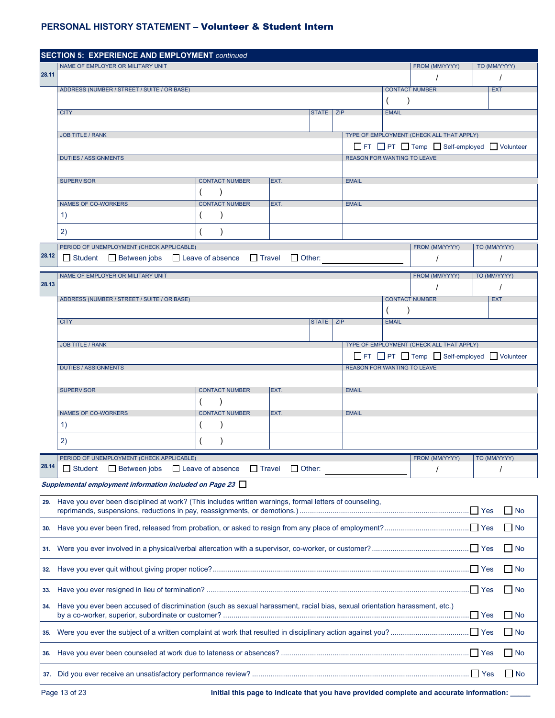|       | <b>SECTION 5: EXPERIENCE AND EMPLOYMENT continued</b>                                                                      |                                    |               |           |                                           |              |                                    |  |              |  |
|-------|----------------------------------------------------------------------------------------------------------------------------|------------------------------------|---------------|-----------|-------------------------------------------|--------------|------------------------------------|--|--------------|--|
| 28.11 | NAME OF EMPLOYER OR MILITARY UNIT                                                                                          |                                    |               |           |                                           |              | FROM (MM/YYYY)                     |  | TO (MM/YYYY) |  |
|       | ADDRESS (NUMBER / STREET / SUITE / OR BASE)                                                                                |                                    |               |           |                                           |              | <b>CONTACT NUMBER</b>              |  | <b>EXT</b>   |  |
|       |                                                                                                                            |                                    |               |           |                                           |              |                                    |  |              |  |
|       | <b>CITY</b>                                                                                                                |                                    |               | STATE ZIP |                                           | <b>EMAIL</b> |                                    |  |              |  |
|       | <b>JOB TITLE / RANK</b>                                                                                                    |                                    |               |           | TYPE OF EMPLOYMENT (CHECK ALL THAT APPLY) |              |                                    |  |              |  |
|       |                                                                                                                            |                                    |               |           |                                           |              | FT PT Temp Self-employed Volunteer |  |              |  |
|       | <b>DUTIES / ASSIGNMENTS</b>                                                                                                |                                    |               |           | <b>REASON FOR WANTING TO LEAVE</b>        |              |                                    |  |              |  |
|       |                                                                                                                            |                                    |               |           |                                           |              |                                    |  |              |  |
|       | <b>SUPERVISOR</b>                                                                                                          | <b>CONTACT NUMBER</b>              | EXT.          |           | <b>EMAIL</b>                              |              |                                    |  |              |  |
|       | <b>NAMES OF CO-WORKERS</b>                                                                                                 | <b>CONTACT NUMBER</b>              | EXT.          |           | <b>EMAIL</b>                              |              |                                    |  |              |  |
|       | $\left( \begin{matrix} 1 \end{matrix} \right)$                                                                             |                                    |               |           |                                           |              |                                    |  |              |  |
|       | 2)                                                                                                                         |                                    |               |           |                                           |              |                                    |  |              |  |
|       | PERIOD OF UNEMPLOYMENT (CHECK APPLICABLE)                                                                                  |                                    |               |           |                                           |              | FROM (MM/YYYY)                     |  | TO (MM/YYYY) |  |
| 28.12 | □ Student □ Between jobs □ Leave of absence □ Travel                                                                       |                                    | $\Box$ Other: |           |                                           |              | $\prime$                           |  | $\prime$     |  |
|       | NAME OF EMPLOYER OR MILITARY UNIT                                                                                          |                                    |               |           |                                           |              | FROM (MM/YYYY)                     |  | TO (MM/YYYY) |  |
| 28.13 |                                                                                                                            |                                    |               |           |                                           |              |                                    |  | $\prime$     |  |
|       | ADDRESS (NUMBER / STREET / SUITE / OR BASE)                                                                                |                                    |               |           |                                           | $\lambda$    | <b>CONTACT NUMBER</b>              |  | <b>EXT</b>   |  |
|       | <b>CITY</b><br>STATE ZIP<br><b>EMAIL</b>                                                                                   |                                    |               |           |                                           |              |                                    |  |              |  |
|       |                                                                                                                            |                                    |               |           |                                           |              |                                    |  |              |  |
|       | TYPE OF EMPLOYMENT (CHECK ALL THAT APPLY)<br><b>JOB TITLE / RANK</b><br>FT PT Temp Self-employed Volunteer                 |                                    |               |           |                                           |              |                                    |  |              |  |
|       | <b>REASON FOR WANTING TO LEAVE</b><br><b>DUTIES / ASSIGNMENTS</b>                                                          |                                    |               |           |                                           |              |                                    |  |              |  |
|       |                                                                                                                            |                                    |               |           |                                           |              |                                    |  |              |  |
|       | <b>SUPERVISOR</b>                                                                                                          | <b>CONTACT NUMBER</b>              | EXT.          |           | <b>EMAIL</b>                              |              |                                    |  |              |  |
|       | <b>NAMES OF CO-WORKERS</b>                                                                                                 | $\lambda$<br><b>CONTACT NUMBER</b> | EXT.          |           | <b>EMAIL</b>                              |              |                                    |  |              |  |
|       | 1)                                                                                                                         |                                    |               |           |                                           |              |                                    |  |              |  |
|       | 2)                                                                                                                         |                                    |               |           |                                           |              |                                    |  |              |  |
|       | PERIOD OF UNEMPLOYMENT (CHECK APPLICABLE)                                                                                  |                                    |               |           |                                           |              | FROM (MM/YYYY)                     |  | TO (MM/YYYY) |  |
| 28.14 | □ Student □ Between jobs □ Leave of absence □ Travel                                                                       |                                    | $\Box$ Other: |           |                                           |              |                                    |  |              |  |
|       | Supplemental employment information included on Page 23                                                                    |                                    |               |           |                                           |              |                                    |  |              |  |
| 29.   | Have you ever been disciplined at work? (This includes written warnings, formal letters of counseling,                     |                                    |               |           |                                           |              |                                    |  | l No         |  |
|       |                                                                                                                            |                                    |               |           |                                           |              |                                    |  |              |  |
| 30.   |                                                                                                                            |                                    |               |           |                                           |              |                                    |  | No           |  |
| 31.   |                                                                                                                            |                                    |               |           |                                           |              |                                    |  | No           |  |
| 32.   |                                                                                                                            |                                    |               |           |                                           |              |                                    |  | $\Box$ No    |  |
| 33.   |                                                                                                                            |                                    |               |           |                                           |              |                                    |  | $\Box$ No    |  |
| 34.   | Have you ever been accused of discrimination (such as sexual harassment, racial bias, sexual orientation harassment, etc.) |                                    |               |           |                                           |              |                                    |  | No           |  |
| 35.   |                                                                                                                            |                                    |               |           |                                           |              |                                    |  | No.          |  |
| 36.   |                                                                                                                            |                                    |               |           |                                           |              |                                    |  | $\Box$ No    |  |
|       |                                                                                                                            |                                    |               |           |                                           |              |                                    |  | No           |  |

Page 13 of 23 **Initial this page to indicate that you have provided complete and accurate information: \_\_\_\_\_**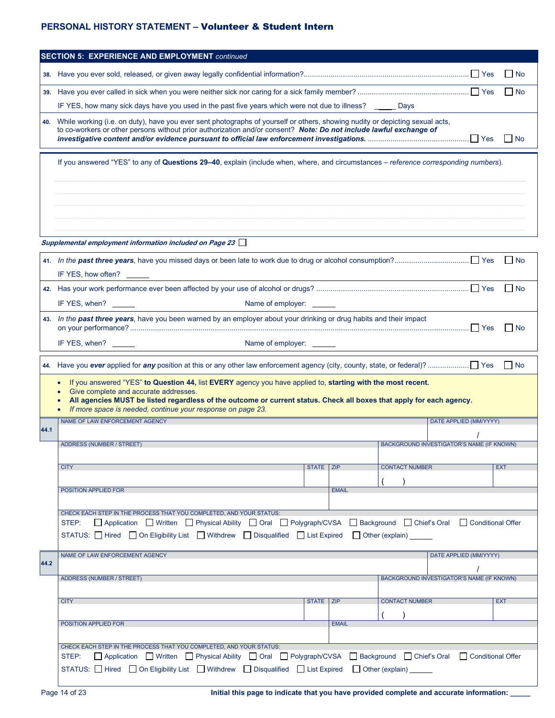| l No<br>38.<br>$\Box$ No<br>39.<br>IF YES, how many sick days have you used in the past five years which were not due to illness? Days<br>While working (i.e. on duty), have you ever sent photographs of yourself or others, showing nudity or depicting sexual acts,<br>to co-workers or other persons without prior authorization and/or consent? Note: Do not include lawful exchange of<br><b>No</b><br>If you answered "YES" to any of Questions 29-40, explain (include when, where, and circumstances - reference corresponding numbers).<br>Supplemental employment information included on Page 23 $\Box$<br>$\Box$ No<br>$\Box$ No<br>Name of employer:<br>IF YES, when?<br>43. In the past three years, have you been warned by an employer about your drinking or drug habits and their impact<br>$\Box$ No<br>Name of employer:<br>IF YES, when?<br>$\Box$ No<br>If you answered "YES" to Question 44, list EVERY agency you have applied to, starting with the most recent.<br>Give complete and accurate addresses.<br>All agencies MUST be listed regardless of the outcome or current status. Check all boxes that apply for each agency.<br>If more space is needed, continue your response on page 23.<br>NAME OF LAW ENFORCEMENT AGENCY<br>DATE APPLIED (MM/YYYY)<br>BACKGROUND INVESTIGATOR'S NAME (IF KNOWN)<br>ADDRESS (NUMBER / STREET)<br><b>CONTACT NUMBER</b><br><b>CITY</b><br>STATE ZIP<br><b>EXT</b><br>POSITION APPLIED FOR<br><b>EMAIL</b><br>CHECK EACH STEP IN THE PROCESS THAT YOU COMPLETED, AND YOUR STATUS:<br>□ Application □ Written □ Physical Ability □ Oral □ Polygraph/CVSA □ Background □ Chief's Oral □ Conditional Offer<br>STEP:<br>STATUS: $\Box$ Hired $\Box$ On Eligibility List $\Box$ Withdrew $\Box$ Disqualified $\Box$ List Expired $\Box$ Other (explain)<br>NAME OF LAW ENFORCEMENT AGENCY<br>DATE APPLIED (MM/YYYY)<br><b>ADDRESS (NUMBER / STREET)</b><br><b>BACKGROUND INVESTIGATOR'S NAME (IF KNOWN)</b> |      | <b>SECTION 5: EXPERIENCE AND EMPLOYMENT continued</b>                                                   |  |  |  |  |  |  |  |  |
|-------------------------------------------------------------------------------------------------------------------------------------------------------------------------------------------------------------------------------------------------------------------------------------------------------------------------------------------------------------------------------------------------------------------------------------------------------------------------------------------------------------------------------------------------------------------------------------------------------------------------------------------------------------------------------------------------------------------------------------------------------------------------------------------------------------------------------------------------------------------------------------------------------------------------------------------------------------------------------------------------------------------------------------------------------------------------------------------------------------------------------------------------------------------------------------------------------------------------------------------------------------------------------------------------------------------------------------------------------------------------------------------------------------------------------------------------------------------------------------------------------------------------------------------------------------------------------------------------------------------------------------------------------------------------------------------------------------------------------------------------------------------------------------------------------------------------------------------------------------------------------------------------------------------------------------------------------------------------|------|---------------------------------------------------------------------------------------------------------|--|--|--|--|--|--|--|--|
|                                                                                                                                                                                                                                                                                                                                                                                                                                                                                                                                                                                                                                                                                                                                                                                                                                                                                                                                                                                                                                                                                                                                                                                                                                                                                                                                                                                                                                                                                                                                                                                                                                                                                                                                                                                                                                                                                                                                                                         |      |                                                                                                         |  |  |  |  |  |  |  |  |
|                                                                                                                                                                                                                                                                                                                                                                                                                                                                                                                                                                                                                                                                                                                                                                                                                                                                                                                                                                                                                                                                                                                                                                                                                                                                                                                                                                                                                                                                                                                                                                                                                                                                                                                                                                                                                                                                                                                                                                         |      |                                                                                                         |  |  |  |  |  |  |  |  |
|                                                                                                                                                                                                                                                                                                                                                                                                                                                                                                                                                                                                                                                                                                                                                                                                                                                                                                                                                                                                                                                                                                                                                                                                                                                                                                                                                                                                                                                                                                                                                                                                                                                                                                                                                                                                                                                                                                                                                                         |      |                                                                                                         |  |  |  |  |  |  |  |  |
|                                                                                                                                                                                                                                                                                                                                                                                                                                                                                                                                                                                                                                                                                                                                                                                                                                                                                                                                                                                                                                                                                                                                                                                                                                                                                                                                                                                                                                                                                                                                                                                                                                                                                                                                                                                                                                                                                                                                                                         | 40.  |                                                                                                         |  |  |  |  |  |  |  |  |
|                                                                                                                                                                                                                                                                                                                                                                                                                                                                                                                                                                                                                                                                                                                                                                                                                                                                                                                                                                                                                                                                                                                                                                                                                                                                                                                                                                                                                                                                                                                                                                                                                                                                                                                                                                                                                                                                                                                                                                         |      |                                                                                                         |  |  |  |  |  |  |  |  |
|                                                                                                                                                                                                                                                                                                                                                                                                                                                                                                                                                                                                                                                                                                                                                                                                                                                                                                                                                                                                                                                                                                                                                                                                                                                                                                                                                                                                                                                                                                                                                                                                                                                                                                                                                                                                                                                                                                                                                                         |      |                                                                                                         |  |  |  |  |  |  |  |  |
|                                                                                                                                                                                                                                                                                                                                                                                                                                                                                                                                                                                                                                                                                                                                                                                                                                                                                                                                                                                                                                                                                                                                                                                                                                                                                                                                                                                                                                                                                                                                                                                                                                                                                                                                                                                                                                                                                                                                                                         |      |                                                                                                         |  |  |  |  |  |  |  |  |
|                                                                                                                                                                                                                                                                                                                                                                                                                                                                                                                                                                                                                                                                                                                                                                                                                                                                                                                                                                                                                                                                                                                                                                                                                                                                                                                                                                                                                                                                                                                                                                                                                                                                                                                                                                                                                                                                                                                                                                         |      |                                                                                                         |  |  |  |  |  |  |  |  |
|                                                                                                                                                                                                                                                                                                                                                                                                                                                                                                                                                                                                                                                                                                                                                                                                                                                                                                                                                                                                                                                                                                                                                                                                                                                                                                                                                                                                                                                                                                                                                                                                                                                                                                                                                                                                                                                                                                                                                                         |      |                                                                                                         |  |  |  |  |  |  |  |  |
|                                                                                                                                                                                                                                                                                                                                                                                                                                                                                                                                                                                                                                                                                                                                                                                                                                                                                                                                                                                                                                                                                                                                                                                                                                                                                                                                                                                                                                                                                                                                                                                                                                                                                                                                                                                                                                                                                                                                                                         |      |                                                                                                         |  |  |  |  |  |  |  |  |
|                                                                                                                                                                                                                                                                                                                                                                                                                                                                                                                                                                                                                                                                                                                                                                                                                                                                                                                                                                                                                                                                                                                                                                                                                                                                                                                                                                                                                                                                                                                                                                                                                                                                                                                                                                                                                                                                                                                                                                         |      |                                                                                                         |  |  |  |  |  |  |  |  |
|                                                                                                                                                                                                                                                                                                                                                                                                                                                                                                                                                                                                                                                                                                                                                                                                                                                                                                                                                                                                                                                                                                                                                                                                                                                                                                                                                                                                                                                                                                                                                                                                                                                                                                                                                                                                                                                                                                                                                                         |      |                                                                                                         |  |  |  |  |  |  |  |  |
|                                                                                                                                                                                                                                                                                                                                                                                                                                                                                                                                                                                                                                                                                                                                                                                                                                                                                                                                                                                                                                                                                                                                                                                                                                                                                                                                                                                                                                                                                                                                                                                                                                                                                                                                                                                                                                                                                                                                                                         |      |                                                                                                         |  |  |  |  |  |  |  |  |
|                                                                                                                                                                                                                                                                                                                                                                                                                                                                                                                                                                                                                                                                                                                                                                                                                                                                                                                                                                                                                                                                                                                                                                                                                                                                                                                                                                                                                                                                                                                                                                                                                                                                                                                                                                                                                                                                                                                                                                         |      |                                                                                                         |  |  |  |  |  |  |  |  |
|                                                                                                                                                                                                                                                                                                                                                                                                                                                                                                                                                                                                                                                                                                                                                                                                                                                                                                                                                                                                                                                                                                                                                                                                                                                                                                                                                                                                                                                                                                                                                                                                                                                                                                                                                                                                                                                                                                                                                                         |      |                                                                                                         |  |  |  |  |  |  |  |  |
|                                                                                                                                                                                                                                                                                                                                                                                                                                                                                                                                                                                                                                                                                                                                                                                                                                                                                                                                                                                                                                                                                                                                                                                                                                                                                                                                                                                                                                                                                                                                                                                                                                                                                                                                                                                                                                                                                                                                                                         | 44.1 |                                                                                                         |  |  |  |  |  |  |  |  |
|                                                                                                                                                                                                                                                                                                                                                                                                                                                                                                                                                                                                                                                                                                                                                                                                                                                                                                                                                                                                                                                                                                                                                                                                                                                                                                                                                                                                                                                                                                                                                                                                                                                                                                                                                                                                                                                                                                                                                                         |      |                                                                                                         |  |  |  |  |  |  |  |  |
|                                                                                                                                                                                                                                                                                                                                                                                                                                                                                                                                                                                                                                                                                                                                                                                                                                                                                                                                                                                                                                                                                                                                                                                                                                                                                                                                                                                                                                                                                                                                                                                                                                                                                                                                                                                                                                                                                                                                                                         |      |                                                                                                         |  |  |  |  |  |  |  |  |
|                                                                                                                                                                                                                                                                                                                                                                                                                                                                                                                                                                                                                                                                                                                                                                                                                                                                                                                                                                                                                                                                                                                                                                                                                                                                                                                                                                                                                                                                                                                                                                                                                                                                                                                                                                                                                                                                                                                                                                         |      |                                                                                                         |  |  |  |  |  |  |  |  |
|                                                                                                                                                                                                                                                                                                                                                                                                                                                                                                                                                                                                                                                                                                                                                                                                                                                                                                                                                                                                                                                                                                                                                                                                                                                                                                                                                                                                                                                                                                                                                                                                                                                                                                                                                                                                                                                                                                                                                                         |      |                                                                                                         |  |  |  |  |  |  |  |  |
|                                                                                                                                                                                                                                                                                                                                                                                                                                                                                                                                                                                                                                                                                                                                                                                                                                                                                                                                                                                                                                                                                                                                                                                                                                                                                                                                                                                                                                                                                                                                                                                                                                                                                                                                                                                                                                                                                                                                                                         |      |                                                                                                         |  |  |  |  |  |  |  |  |
|                                                                                                                                                                                                                                                                                                                                                                                                                                                                                                                                                                                                                                                                                                                                                                                                                                                                                                                                                                                                                                                                                                                                                                                                                                                                                                                                                                                                                                                                                                                                                                                                                                                                                                                                                                                                                                                                                                                                                                         |      |                                                                                                         |  |  |  |  |  |  |  |  |
|                                                                                                                                                                                                                                                                                                                                                                                                                                                                                                                                                                                                                                                                                                                                                                                                                                                                                                                                                                                                                                                                                                                                                                                                                                                                                                                                                                                                                                                                                                                                                                                                                                                                                                                                                                                                                                                                                                                                                                         |      |                                                                                                         |  |  |  |  |  |  |  |  |
|                                                                                                                                                                                                                                                                                                                                                                                                                                                                                                                                                                                                                                                                                                                                                                                                                                                                                                                                                                                                                                                                                                                                                                                                                                                                                                                                                                                                                                                                                                                                                                                                                                                                                                                                                                                                                                                                                                                                                                         |      |                                                                                                         |  |  |  |  |  |  |  |  |
|                                                                                                                                                                                                                                                                                                                                                                                                                                                                                                                                                                                                                                                                                                                                                                                                                                                                                                                                                                                                                                                                                                                                                                                                                                                                                                                                                                                                                                                                                                                                                                                                                                                                                                                                                                                                                                                                                                                                                                         | 44.2 |                                                                                                         |  |  |  |  |  |  |  |  |
|                                                                                                                                                                                                                                                                                                                                                                                                                                                                                                                                                                                                                                                                                                                                                                                                                                                                                                                                                                                                                                                                                                                                                                                                                                                                                                                                                                                                                                                                                                                                                                                                                                                                                                                                                                                                                                                                                                                                                                         |      |                                                                                                         |  |  |  |  |  |  |  |  |
|                                                                                                                                                                                                                                                                                                                                                                                                                                                                                                                                                                                                                                                                                                                                                                                                                                                                                                                                                                                                                                                                                                                                                                                                                                                                                                                                                                                                                                                                                                                                                                                                                                                                                                                                                                                                                                                                                                                                                                         |      |                                                                                                         |  |  |  |  |  |  |  |  |
| <b>CONTACT NUMBER</b><br><b>CITY</b><br>STATE   ZIP<br><b>EXT</b>                                                                                                                                                                                                                                                                                                                                                                                                                                                                                                                                                                                                                                                                                                                                                                                                                                                                                                                                                                                                                                                                                                                                                                                                                                                                                                                                                                                                                                                                                                                                                                                                                                                                                                                                                                                                                                                                                                       |      |                                                                                                         |  |  |  |  |  |  |  |  |
| POSITION APPLIED FOR<br><b>EMAIL</b>                                                                                                                                                                                                                                                                                                                                                                                                                                                                                                                                                                                                                                                                                                                                                                                                                                                                                                                                                                                                                                                                                                                                                                                                                                                                                                                                                                                                                                                                                                                                                                                                                                                                                                                                                                                                                                                                                                                                    |      |                                                                                                         |  |  |  |  |  |  |  |  |
|                                                                                                                                                                                                                                                                                                                                                                                                                                                                                                                                                                                                                                                                                                                                                                                                                                                                                                                                                                                                                                                                                                                                                                                                                                                                                                                                                                                                                                                                                                                                                                                                                                                                                                                                                                                                                                                                                                                                                                         |      |                                                                                                         |  |  |  |  |  |  |  |  |
| CHECK EACH STEP IN THE PROCESS THAT YOU COMPLETED, AND YOUR STATUS:<br>□ Application □ Written □ Physical Ability □ Oral □ Polygraph/CVSA □ Background □ Chief's Oral □ Conditional Offer<br>STEP:                                                                                                                                                                                                                                                                                                                                                                                                                                                                                                                                                                                                                                                                                                                                                                                                                                                                                                                                                                                                                                                                                                                                                                                                                                                                                                                                                                                                                                                                                                                                                                                                                                                                                                                                                                      |      |                                                                                                         |  |  |  |  |  |  |  |  |
|                                                                                                                                                                                                                                                                                                                                                                                                                                                                                                                                                                                                                                                                                                                                                                                                                                                                                                                                                                                                                                                                                                                                                                                                                                                                                                                                                                                                                                                                                                                                                                                                                                                                                                                                                                                                                                                                                                                                                                         |      | STATUS: I Hired I On Eligibility List I Withdrew I Disqualified I List Expired I Other (explain) ______ |  |  |  |  |  |  |  |  |
|                                                                                                                                                                                                                                                                                                                                                                                                                                                                                                                                                                                                                                                                                                                                                                                                                                                                                                                                                                                                                                                                                                                                                                                                                                                                                                                                                                                                                                                                                                                                                                                                                                                                                                                                                                                                                                                                                                                                                                         |      |                                                                                                         |  |  |  |  |  |  |  |  |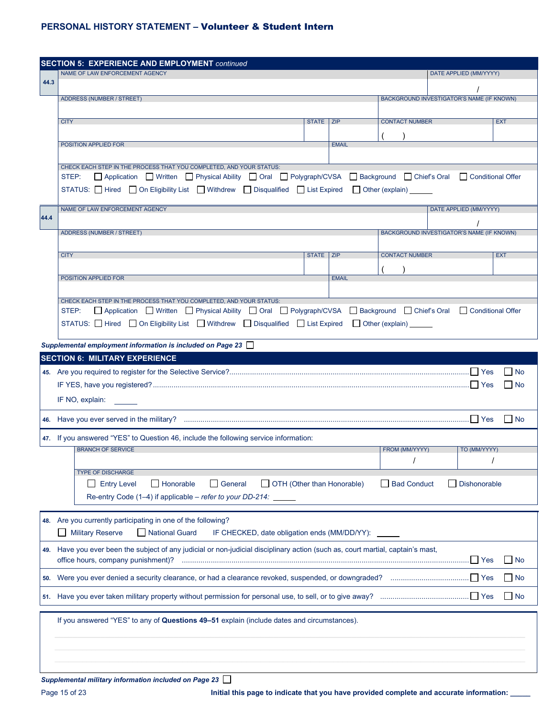|      | <b>SECTION 5: EXPERIENCE AND EMPLOYMENT continued</b>                                                                                                                                              |             |              |                       |                                                  |                   |  |  |  |  |
|------|----------------------------------------------------------------------------------------------------------------------------------------------------------------------------------------------------|-------------|--------------|-----------------------|--------------------------------------------------|-------------------|--|--|--|--|
|      | NAME OF LAW ENFORCEMENT AGENCY                                                                                                                                                                     |             |              |                       | DATE APPLIED (MM/YYYY)                           |                   |  |  |  |  |
| 44.3 |                                                                                                                                                                                                    |             |              |                       |                                                  |                   |  |  |  |  |
|      | ADDRESS (NUMBER / STREET)                                                                                                                                                                          |             |              |                       | BACKGROUND INVESTIGATOR'S NAME (IF KNOWN)        |                   |  |  |  |  |
|      | <b>CITY</b>                                                                                                                                                                                        | STATE   ZIP |              | <b>CONTACT NUMBER</b> |                                                  | <b>EXT</b>        |  |  |  |  |
|      |                                                                                                                                                                                                    |             |              |                       |                                                  |                   |  |  |  |  |
|      | POSITION APPLIED FOR                                                                                                                                                                               |             | <b>EMAIL</b> |                       |                                                  |                   |  |  |  |  |
|      |                                                                                                                                                                                                    |             |              |                       |                                                  |                   |  |  |  |  |
|      | CHECK EACH STEP IN THE PROCESS THAT YOU COMPLETED. AND YOUR STATUS:<br>□ Application □ Written □ Physical Ability □ Oral □ Polygraph/CVSA □ Background □ Chief's Oral<br>STEP:                     |             |              |                       |                                                  | Conditional Offer |  |  |  |  |
|      | STATUS: □ Hired □ On Eligibility List □ Withdrew □ Disqualified □ List Expired □ Other (explain) _____                                                                                             |             |              |                       |                                                  |                   |  |  |  |  |
|      |                                                                                                                                                                                                    |             |              |                       |                                                  |                   |  |  |  |  |
| 44.4 | NAME OF LAW ENFORCEMENT AGENCY                                                                                                                                                                     |             |              |                       | DATE APPLIED (MM/YYYY)                           |                   |  |  |  |  |
|      |                                                                                                                                                                                                    |             |              |                       |                                                  |                   |  |  |  |  |
|      | <b>ADDRESS (NUMBER / STREET)</b>                                                                                                                                                                   |             |              |                       | <b>BACKGROUND INVESTIGATOR'S NAME (IF KNOWN)</b> |                   |  |  |  |  |
|      | <b>CITY</b>                                                                                                                                                                                        | STATE ZIP   |              | <b>CONTACT NUMBER</b> |                                                  | <b>EXT</b>        |  |  |  |  |
|      |                                                                                                                                                                                                    |             |              |                       |                                                  |                   |  |  |  |  |
|      | POSITION APPLIED FOR                                                                                                                                                                               |             | <b>EMAIL</b> |                       |                                                  |                   |  |  |  |  |
|      |                                                                                                                                                                                                    |             |              |                       |                                                  |                   |  |  |  |  |
|      | CHECK EACH STEP IN THE PROCESS THAT YOU COMPLETED, AND YOUR STATUS:<br>□ Application □ Written □ Physical Ability □ Oral □ Polygraph/CVSA □ Background □ Chief's Oral □ Conditional Offer<br>STEP: |             |              |                       |                                                  |                   |  |  |  |  |
|      | STATUS: $\Box$ Hired $\Box$ On Eligibility List $\Box$ Withdrew $\Box$ Disqualified $\Box$ List Expired $\Box$ Other (explain)                                                                     |             |              |                       |                                                  |                   |  |  |  |  |
|      |                                                                                                                                                                                                    |             |              |                       |                                                  |                   |  |  |  |  |
|      | Supplemental employment information is included on Page 23                                                                                                                                         |             |              |                       |                                                  |                   |  |  |  |  |
|      | <b>SECTION 6: MILITARY EXPERIENCE</b>                                                                                                                                                              |             |              |                       |                                                  |                   |  |  |  |  |
|      | l No                                                                                                                                                                                               |             |              |                       |                                                  |                   |  |  |  |  |
|      | No                                                                                                                                                                                                 |             |              |                       |                                                  |                   |  |  |  |  |
|      | IF NO, explain:                                                                                                                                                                                    |             |              |                       |                                                  |                   |  |  |  |  |
|      |                                                                                                                                                                                                    |             |              |                       |                                                  | $\Box$ No         |  |  |  |  |
|      |                                                                                                                                                                                                    |             |              |                       |                                                  |                   |  |  |  |  |
|      | 47. If you answered "YES" to Question 46, include the following service information:<br><b>BRANCH OF SERVICE</b>                                                                                   |             |              | FROM (MM/YYYY)        | TO (MM/YYYY)                                     |                   |  |  |  |  |
|      |                                                                                                                                                                                                    |             |              |                       |                                                  |                   |  |  |  |  |
|      | <b>TYPE OF DISCHARGE</b>                                                                                                                                                                           |             |              |                       |                                                  |                   |  |  |  |  |
|      | <b>Entry Level</b><br>$\Box$ Honorable<br>$\Box$ General<br>OTH (Other than Honorable)                                                                                                             |             |              | Bad Conduct           | <b>Dishonorable</b>                              |                   |  |  |  |  |
|      | Re-entry Code (1-4) if applicable - refer to your DD-214:                                                                                                                                          |             |              |                       |                                                  |                   |  |  |  |  |
|      | 48. Are you currently participating in one of the following?                                                                                                                                       |             |              |                       |                                                  |                   |  |  |  |  |
|      | <b>Military Reserve</b><br>National Guard                                                                                                                                                          |             |              |                       |                                                  |                   |  |  |  |  |
|      | IF CHECKED, date obligation ends (MM/DD/YY): _____                                                                                                                                                 |             |              |                       |                                                  |                   |  |  |  |  |
|      | 49. Have you ever been the subject of any judicial or non-judicial disciplinary action (such as, court martial, captain's mast,<br>office hours, company punishment)?                              |             |              |                       |                                                  | $\Box$ No         |  |  |  |  |
|      |                                                                                                                                                                                                    |             |              |                       |                                                  |                   |  |  |  |  |
|      |                                                                                                                                                                                                    |             |              |                       |                                                  | l No              |  |  |  |  |
|      |                                                                                                                                                                                                    |             |              |                       |                                                  | No                |  |  |  |  |
|      | If you answered "YES" to any of Questions 49-51 explain (include dates and circumstances).                                                                                                         |             |              |                       |                                                  |                   |  |  |  |  |
|      |                                                                                                                                                                                                    |             |              |                       |                                                  |                   |  |  |  |  |
|      |                                                                                                                                                                                                    |             |              |                       |                                                  |                   |  |  |  |  |
|      |                                                                                                                                                                                                    |             |              |                       |                                                  |                   |  |  |  |  |
|      | Supplemental military information included on Page 23                                                                                                                                              |             |              |                       |                                                  |                   |  |  |  |  |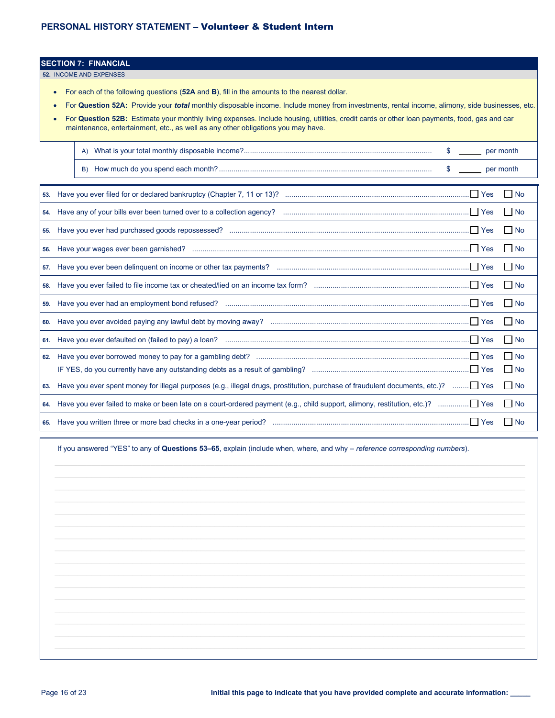#### **SECTION 7: FINANCIAL**

**52.** INCOME AND EXPENSES

- For each of the following questions (**52A** and **B**), fill in the amounts to the nearest dollar.
- For **Question 52A:** Provide your *total* monthly disposable income. Include money from investments, rental income, alimony, side businesses, etc.
- For **Question 52B:** Estimate your monthly living expenses. Include housing, utilities, credit cards or other loan payments, food, gas and car maintenance, entertainment, etc., as well as any other obligations you may have.

|  | \$ per month                                                                                                                            |                   |
|--|-----------------------------------------------------------------------------------------------------------------------------------------|-------------------|
|  | $$$ per month                                                                                                                           |                   |
|  |                                                                                                                                         |                   |
|  |                                                                                                                                         | $\Box$ No         |
|  |                                                                                                                                         |                   |
|  |                                                                                                                                         | $\Box$ No         |
|  |                                                                                                                                         | $\blacksquare$ No |
|  |                                                                                                                                         |                   |
|  |                                                                                                                                         | No.               |
|  |                                                                                                                                         | No                |
|  |                                                                                                                                         |                   |
|  |                                                                                                                                         | $\Box$ No         |
|  |                                                                                                                                         | $\Box$ No         |
|  |                                                                                                                                         | $\Box$ No         |
|  | 63. Have you ever spent money for illegal purposes (e.g., illegal drugs, prostitution, purchase of fraudulent documents, etc.)?  Yes no |                   |
|  |                                                                                                                                         |                   |
|  |                                                                                                                                         | $\blacksquare$ No |

If you answered "YES" to any of **Questions 53–65**, explain (include when, where, and why – *reference corresponding numbers*).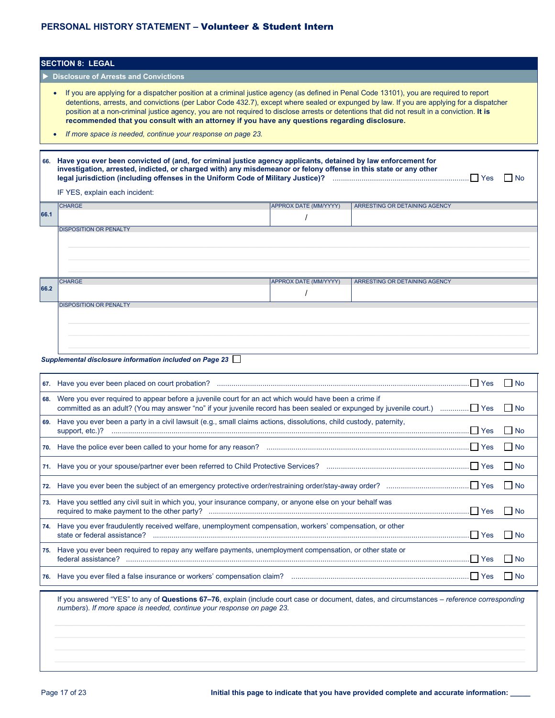|      | <b>SECTION 8: LEGAL</b>                                                                                                                                                                                                                                                                                                                                                                                                                                                                                                                                                                                           |                       |                               |  |  |  |  |  |  |  |  |
|------|-------------------------------------------------------------------------------------------------------------------------------------------------------------------------------------------------------------------------------------------------------------------------------------------------------------------------------------------------------------------------------------------------------------------------------------------------------------------------------------------------------------------------------------------------------------------------------------------------------------------|-----------------------|-------------------------------|--|--|--|--|--|--|--|--|
|      | <b>Disclosure of Arrests and Convictions</b>                                                                                                                                                                                                                                                                                                                                                                                                                                                                                                                                                                      |                       |                               |  |  |  |  |  |  |  |  |
|      | If you are applying for a dispatcher position at a criminal justice agency (as defined in Penal Code 13101), you are required to report<br>$\bullet$<br>detentions, arrests, and convictions (per Labor Code 432.7), except where sealed or expunged by law. If you are applying for a dispatcher<br>position at a non-criminal justice agency, you are not required to disclose arrests or detentions that did not result in a conviction. It is<br>recommended that you consult with an attorney if you have any questions regarding disclosure.<br>If more space is needed, continue your response on page 23. |                       |                               |  |  |  |  |  |  |  |  |
| 66.  | Have you ever been convicted of (and, for criminal justice agency applicants, detained by law enforcement for<br>investigation, arrested, indicted, or charged with) any misdemeanor or felony offense in this state or any other<br>– I No<br>IF YES, explain each incident:                                                                                                                                                                                                                                                                                                                                     |                       |                               |  |  |  |  |  |  |  |  |
|      | <b>CHARGE</b>                                                                                                                                                                                                                                                                                                                                                                                                                                                                                                                                                                                                     | APPROX DATE (MM/YYYY) | ARRESTING OR DETAINING AGENCY |  |  |  |  |  |  |  |  |
| 66.1 |                                                                                                                                                                                                                                                                                                                                                                                                                                                                                                                                                                                                                   |                       |                               |  |  |  |  |  |  |  |  |
|      | <b>DISPOSITION OR PENALTY</b>                                                                                                                                                                                                                                                                                                                                                                                                                                                                                                                                                                                     |                       |                               |  |  |  |  |  |  |  |  |
| 66.2 | <b>CHARGE</b>                                                                                                                                                                                                                                                                                                                                                                                                                                                                                                                                                                                                     | APPROX DATE (MM/YYYY) | ARRESTING OR DETAINING AGENCY |  |  |  |  |  |  |  |  |
|      | <b>DISPOSITION OR PENALTY</b>                                                                                                                                                                                                                                                                                                                                                                                                                                                                                                                                                                                     |                       |                               |  |  |  |  |  |  |  |  |

#### *Supplemental disclosure information included on Page 23*

|                                                                                                                        | l IN <sub>o</sub>                                                                                                             |
|------------------------------------------------------------------------------------------------------------------------|-------------------------------------------------------------------------------------------------------------------------------|
| 68. Were you ever required to appear before a juvenile court for an act which would have been a crime if               |                                                                                                                               |
| 69. Have you ever been a party in a civil lawsuit (e.g., small claims actions, dissolutions, child custody, paternity, | II No                                                                                                                         |
|                                                                                                                        | l I No                                                                                                                        |
|                                                                                                                        | l INo                                                                                                                         |
|                                                                                                                        | ∣ I No                                                                                                                        |
| 73. Have you settled any civil suit in which you, your insurance company, or anyone else on your behalf was            |                                                                                                                               |
| 74. Have you ever fraudulently received welfare, unemployment compensation, workers' compensation, or other            |                                                                                                                               |
| 75. Have you ever been required to repay any welfare payments, unemployment compensation, or other state or            | $\overline{\phantom{a}}$ in No                                                                                                |
|                                                                                                                        |                                                                                                                               |
|                                                                                                                        | committed as an adult? (You may answer "no" if your juvenile record has been sealed or expunged by juvenile court.)  Yes ■ No |

If you answered "YES" to any of **Questions 67–76**, explain (include court case or document, dates, and circumstances – *reference corresponding numbers*). *If more space is needed, continue your response on page 23.*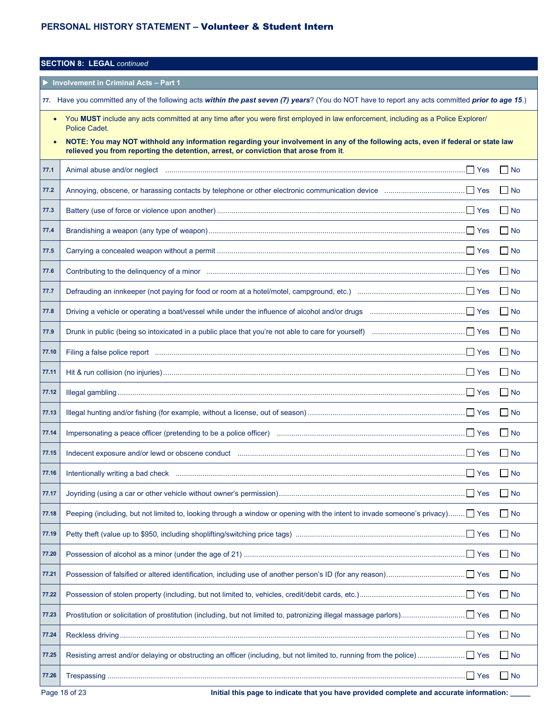| <b>SECTION 8: LEGAL continued</b>            |                                                                                                                                                                                                                          |           |  |  |  |  |
|----------------------------------------------|--------------------------------------------------------------------------------------------------------------------------------------------------------------------------------------------------------------------------|-----------|--|--|--|--|
| <b>Involvement in Criminal Acts - Part 1</b> |                                                                                                                                                                                                                          |           |  |  |  |  |
|                                              | 77. Have you committed any of the following acts within the past seven (7) years? (You do NOT have to report any acts committed prior to age 15.)                                                                        |           |  |  |  |  |
|                                              | You MUST include any acts committed at any time after you were first employed in law enforcement, including as a Police Explorer/<br>Police Cadet.                                                                       |           |  |  |  |  |
|                                              | NOTE: You may NOT withhold any information regarding your involvement in any of the following acts, even if federal or state law<br>relieved you from reporting the detention, arrest, or conviction that arose from it. |           |  |  |  |  |
| 77.1                                         |                                                                                                                                                                                                                          | $\Box$ No |  |  |  |  |
| 77.2                                         |                                                                                                                                                                                                                          | $\Box$ No |  |  |  |  |
| 77.3                                         |                                                                                                                                                                                                                          | $\Box$ No |  |  |  |  |
| 77.4                                         |                                                                                                                                                                                                                          | $\Box$ No |  |  |  |  |
| 77.5                                         |                                                                                                                                                                                                                          | $\Box$ No |  |  |  |  |
| 77.6                                         |                                                                                                                                                                                                                          | $\Box$ No |  |  |  |  |
| 77.7                                         |                                                                                                                                                                                                                          | $\Box$ No |  |  |  |  |
| 77.8                                         |                                                                                                                                                                                                                          | $\Box$ No |  |  |  |  |
| 77.9                                         |                                                                                                                                                                                                                          | $\Box$ No |  |  |  |  |
| 77.10                                        |                                                                                                                                                                                                                          | $\Box$ No |  |  |  |  |
| 77.11                                        |                                                                                                                                                                                                                          | $\Box$ No |  |  |  |  |
| 77.12                                        |                                                                                                                                                                                                                          | $\Box$ No |  |  |  |  |
| 77.13                                        |                                                                                                                                                                                                                          | $\Box$ No |  |  |  |  |
| 77.14                                        |                                                                                                                                                                                                                          | No        |  |  |  |  |
| 77.15                                        |                                                                                                                                                                                                                          | $\Box$ No |  |  |  |  |
| 77.16                                        | $\Box$ Yes                                                                                                                                                                                                               | $\Box$ No |  |  |  |  |
| 77.17                                        |                                                                                                                                                                                                                          | $\Box$ No |  |  |  |  |
| 77.18                                        | Peeping (including, but not limited to, looking through a window or opening with the intent to invade someone's privacy) ■ Yes                                                                                           | $\Box$ No |  |  |  |  |
| 77.19                                        |                                                                                                                                                                                                                          | $\Box$ No |  |  |  |  |
| 77.20                                        |                                                                                                                                                                                                                          | $\Box$ No |  |  |  |  |
| 77.21                                        |                                                                                                                                                                                                                          | $\Box$ No |  |  |  |  |
| 77.22                                        |                                                                                                                                                                                                                          | $\Box$ No |  |  |  |  |
| 77.23                                        |                                                                                                                                                                                                                          | $\Box$ No |  |  |  |  |
| 77.24                                        | . Yes                                                                                                                                                                                                                    | $\Box$ No |  |  |  |  |
| 77.25                                        |                                                                                                                                                                                                                          | $\Box$ No |  |  |  |  |
| 77.26                                        | $\Box$ Yes                                                                                                                                                                                                               | $\Box$ No |  |  |  |  |

Page 18 of 23 **Initial this page to indicate that you have provided complete and accurate information:**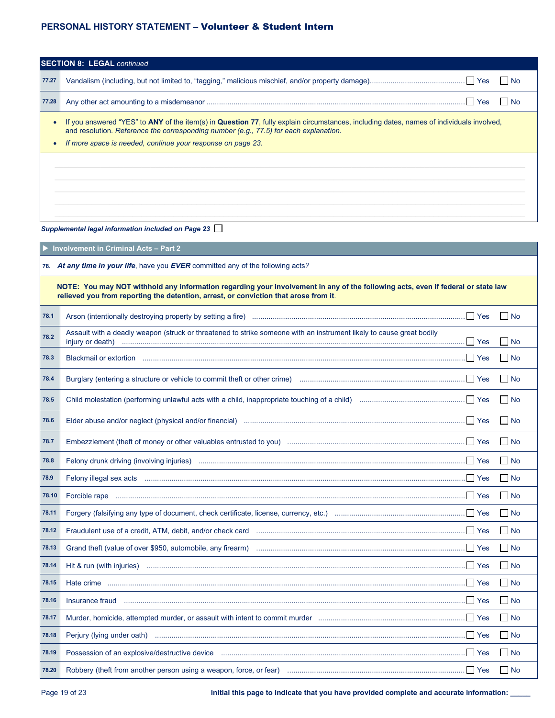| <b>SECTION 8: LEGAL continued</b> |                                                                                                                                                                                                                                                                                                  |  |  |  |  |
|-----------------------------------|--------------------------------------------------------------------------------------------------------------------------------------------------------------------------------------------------------------------------------------------------------------------------------------------------|--|--|--|--|
| 77.27                             | l No                                                                                                                                                                                                                                                                                             |  |  |  |  |
| 77.28                             | II Yes<br><b>No</b>                                                                                                                                                                                                                                                                              |  |  |  |  |
|                                   | If you answered "YES" to ANY of the item(s) in Question 77, fully explain circumstances, including dates, names of individuals involved,<br>and resolution. Reference the corresponding number (e.g., 77.5) for each explanation.<br>If more space is needed, continue your response on page 23. |  |  |  |  |
|                                   |                                                                                                                                                                                                                                                                                                  |  |  |  |  |

*Supplemental legal information included on Page 23*

**Involvement in Criminal Acts – Part 2**

**78.** *At any time in your life*, have you *EVER* committed any of the following acts*?*

**NOTE: You may NOT withhold any information regarding your involvement in any of the following acts, even if federal or state law relieved you from reporting the detention, arrest, or conviction that arose from it**.

| 78.1  |                                                                                                                                                                                                                                                                                                                                                                                                                                                                                            | No.               |
|-------|--------------------------------------------------------------------------------------------------------------------------------------------------------------------------------------------------------------------------------------------------------------------------------------------------------------------------------------------------------------------------------------------------------------------------------------------------------------------------------------------|-------------------|
| 78.2  | Assault with a deadly weapon (struck or threatened to strike someone with an instrument likely to cause great bodily<br>injury or death)                                                                                                                                                                                                                                                                                                                                                   | No.               |
| 78.3  |                                                                                                                                                                                                                                                                                                                                                                                                                                                                                            | No.               |
| 78.4  |                                                                                                                                                                                                                                                                                                                                                                                                                                                                                            | No                |
| 78.5  |                                                                                                                                                                                                                                                                                                                                                                                                                                                                                            | $\Box$ No         |
| 78.6  |                                                                                                                                                                                                                                                                                                                                                                                                                                                                                            | $\blacksquare$ No |
| 78.7  |                                                                                                                                                                                                                                                                                                                                                                                                                                                                                            | $\Box$ No         |
| 78.8  |                                                                                                                                                                                                                                                                                                                                                                                                                                                                                            | $\Box$ No         |
| 78.9  |                                                                                                                                                                                                                                                                                                                                                                                                                                                                                            | $\Box$ No         |
| 78.10 | $\blacksquare$ $\blacksquare$ $\blacksquare$ $\blacksquare$ $\blacksquare$ $\blacksquare$ $\blacksquare$ $\blacksquare$ $\blacksquare$ $\blacksquare$ $\blacksquare$ $\blacksquare$ $\blacksquare$ $\blacksquare$ $\blacksquare$ $\blacksquare$ $\blacksquare$ $\blacksquare$ $\blacksquare$ $\blacksquare$ $\blacksquare$ $\blacksquare$ $\blacksquare$ $\blacksquare$ $\blacksquare$ $\blacksquare$ $\blacksquare$ $\blacksquare$ $\blacksquare$ $\blacksquare$ $\blacksquare$ $\blacks$ | $\Box$ No         |
| 78.11 |                                                                                                                                                                                                                                                                                                                                                                                                                                                                                            | No.               |
| 78.12 |                                                                                                                                                                                                                                                                                                                                                                                                                                                                                            | $\Box$ No         |
| 78.13 |                                                                                                                                                                                                                                                                                                                                                                                                                                                                                            | $\Box$ No         |
| 78.14 |                                                                                                                                                                                                                                                                                                                                                                                                                                                                                            | $\Box$ No         |
| 78.15 |                                                                                                                                                                                                                                                                                                                                                                                                                                                                                            | $\Box$ No         |
| 78.16 |                                                                                                                                                                                                                                                                                                                                                                                                                                                                                            | $\Box$ No         |
| 78.17 |                                                                                                                                                                                                                                                                                                                                                                                                                                                                                            | $\Box$ No         |
| 78.18 |                                                                                                                                                                                                                                                                                                                                                                                                                                                                                            | $\Box$ No         |
| 78.19 | Possession of an explosive/destructive device measurement and contain the settlement of the settlement of the                                                                                                                                                                                                                                                                                                                                                                              | $\Box$ No         |
| 78.20 | Robbery (theft from another person using a weapon, force, or fear) manufactured manufactured and the Yes                                                                                                                                                                                                                                                                                                                                                                                   | $\Box$ No         |

Page 19 of 23 **Initial this page to indicate that you have provided complete and accurate information: \_\_\_\_\_**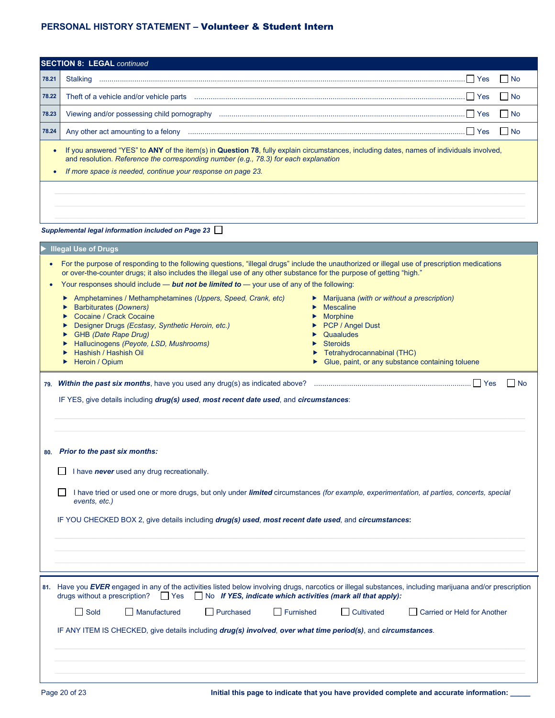| <b>SECTION 8: LEGAL continued</b>                                                                                                                                                                                                                                                                                                                                                                                                                                                                                                                                                                                                                                                                                                                                                                                                                                                                                                                  |                                                                                                                                                                                                                                                                                                                                                                                                                                                                                                               |  |  |  |  |  |  |
|----------------------------------------------------------------------------------------------------------------------------------------------------------------------------------------------------------------------------------------------------------------------------------------------------------------------------------------------------------------------------------------------------------------------------------------------------------------------------------------------------------------------------------------------------------------------------------------------------------------------------------------------------------------------------------------------------------------------------------------------------------------------------------------------------------------------------------------------------------------------------------------------------------------------------------------------------|---------------------------------------------------------------------------------------------------------------------------------------------------------------------------------------------------------------------------------------------------------------------------------------------------------------------------------------------------------------------------------------------------------------------------------------------------------------------------------------------------------------|--|--|--|--|--|--|
| 78.21                                                                                                                                                                                                                                                                                                                                                                                                                                                                                                                                                                                                                                                                                                                                                                                                                                                                                                                                              | l No                                                                                                                                                                                                                                                                                                                                                                                                                                                                                                          |  |  |  |  |  |  |
| 78.22                                                                                                                                                                                                                                                                                                                                                                                                                                                                                                                                                                                                                                                                                                                                                                                                                                                                                                                                              | $\Box$ No                                                                                                                                                                                                                                                                                                                                                                                                                                                                                                     |  |  |  |  |  |  |
| 78.23                                                                                                                                                                                                                                                                                                                                                                                                                                                                                                                                                                                                                                                                                                                                                                                                                                                                                                                                              | $\Box$ No                                                                                                                                                                                                                                                                                                                                                                                                                                                                                                     |  |  |  |  |  |  |
| 78.24                                                                                                                                                                                                                                                                                                                                                                                                                                                                                                                                                                                                                                                                                                                                                                                                                                                                                                                                              | $\Box$ No<br>Any other act amounting to a felony measurement and the set of the state of the state of the Stevens and Test                                                                                                                                                                                                                                                                                                                                                                                    |  |  |  |  |  |  |
|                                                                                                                                                                                                                                                                                                                                                                                                                                                                                                                                                                                                                                                                                                                                                                                                                                                                                                                                                    | If you answered "YES" to ANY of the item(s) in Question 78, fully explain circumstances, including dates, names of individuals involved,<br>$\bullet$<br>and resolution. Reference the corresponding number (e.g., 78.3) for each explanation<br>If more space is needed, continue your response on page 23.                                                                                                                                                                                                  |  |  |  |  |  |  |
|                                                                                                                                                                                                                                                                                                                                                                                                                                                                                                                                                                                                                                                                                                                                                                                                                                                                                                                                                    | Supplemental legal information included on Page 23                                                                                                                                                                                                                                                                                                                                                                                                                                                            |  |  |  |  |  |  |
| <b>Illegal Use of Drugs</b><br>For the purpose of responding to the following questions, "illegal drugs" include the unauthorized or illegal use of prescription medications<br>or over-the-counter drugs; it also includes the illegal use of any other substance for the purpose of getting "high."<br>Your responses should include — but not be limited to — your use of any of the following:<br>Amphetamines / Methamphetamines (Uppers, Speed, Crank, etc)<br>• Marijuana (with or without a prescription)<br><b>Barbiturates (Downers)</b><br>Mescaline<br>▶<br>Cocaine / Crack Cocaine<br>$\blacktriangleright$ Morphine<br>PCP / Angel Dust<br>Designer Drugs (Ecstasy, Synthetic Heroin, etc.)<br>GHB (Date Rape Drug)<br>Quaaludes<br>Hallucinogens (Peyote, LSD, Mushrooms)<br>$\triangleright$ Steroids<br>Hashish / Hashish Oil<br>Tetrahydrocannabinal (THC)<br>Glue, paint, or any substance containing toluene<br>Heroin / Opium |                                                                                                                                                                                                                                                                                                                                                                                                                                                                                                               |  |  |  |  |  |  |
|                                                                                                                                                                                                                                                                                                                                                                                                                                                                                                                                                                                                                                                                                                                                                                                                                                                                                                                                                    | l No<br>IF YES, give details including drug(s) used, most recent date used, and circumstances:<br>80. Prior to the past six months:<br>I have never used any drug recreationally.<br>I have tried or used one or more drugs, but only under limited circumstances (for example, experimentation, at parties, concerts, special<br>events, etc.)<br>IF YOU CHECKED BOX 2, give details including drug(s) used, most recent date used, and circumstances:                                                       |  |  |  |  |  |  |
|                                                                                                                                                                                                                                                                                                                                                                                                                                                                                                                                                                                                                                                                                                                                                                                                                                                                                                                                                    | 81. Have you EVER engaged in any of the activities listed below involving drugs, narcotics or illegal substances, including marijuana and/or prescription<br>drugs without a prescription?<br>$\blacksquare$ Yes<br>$\Box$ No If YES, indicate which activities (mark all that apply):<br>Sold<br>Manufactured<br>Purchased<br>Furnished<br><b>Cultivated</b><br>Carried or Held for Another<br>IF ANY ITEM IS CHECKED, give details including drug(s) involved, over what time period(s), and circumstances. |  |  |  |  |  |  |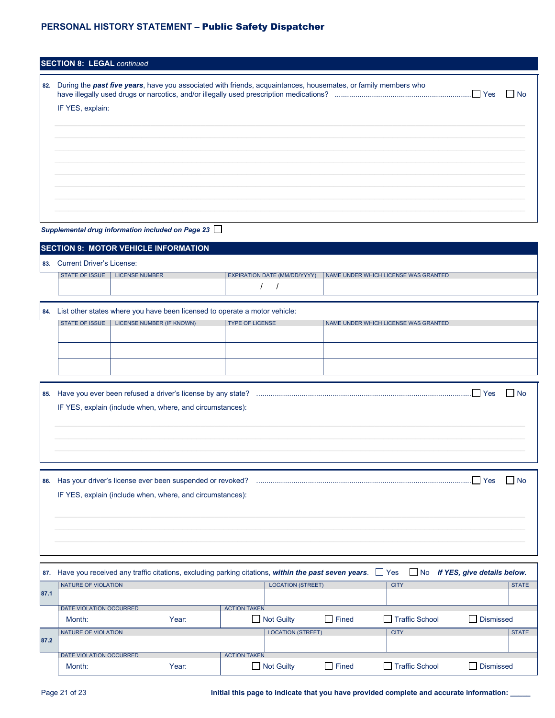# **PERSONAL HISTORY STATEMENT –** Public Safety Dispatcher

| During the <b>past five years</b> , have you associated with friends, acquaintances, housemates, or family members who<br>IF YES, explain: | - I No                                            |
|--------------------------------------------------------------------------------------------------------------------------------------------|---------------------------------------------------|
|                                                                                                                                            |                                                   |
|                                                                                                                                            |                                                   |
|                                                                                                                                            |                                                   |
|                                                                                                                                            |                                                   |
|                                                                                                                                            |                                                   |
|                                                                                                                                            |                                                   |
|                                                                                                                                            |                                                   |
|                                                                                                                                            | Supplemental drug information included on Page 23 |

| <b>SECTION 9: MOTOR VEHICLE INFORMATION</b>               |                                                                                |                              |                                      |  |  |
|-----------------------------------------------------------|--------------------------------------------------------------------------------|------------------------------|--------------------------------------|--|--|
| 83. Current Driver's License:                             |                                                                                |                              |                                      |  |  |
| STATE OF ISSUE                                            | <b>LICENSE NUMBER</b>                                                          | EXPIRATION DATE (MM/DD/YYYY) | NAME UNDER WHICH LICENSE WAS GRANTED |  |  |
|                                                           |                                                                                |                              |                                      |  |  |
|                                                           | 84. List other states where you have been licensed to operate a motor vehicle: |                              |                                      |  |  |
| STATE OF ISSUE                                            | LICENSE NUMBER (IF KNOWN)                                                      | <b>TYPE OF LICENSE</b>       | NAME UNDER WHICH LICENSE WAS GRANTED |  |  |
|                                                           |                                                                                |                              |                                      |  |  |
|                                                           |                                                                                |                              |                                      |  |  |
|                                                           |                                                                                |                              |                                      |  |  |
| l No                                                      |                                                                                |                              |                                      |  |  |
| IF YES, explain (include when, where, and circumstances): |                                                                                |                              |                                      |  |  |
|                                                           |                                                                                |                              |                                      |  |  |
|                                                           |                                                                                |                              |                                      |  |  |
|                                                           |                                                                                |                              |                                      |  |  |
|                                                           |                                                                                |                              |                                      |  |  |
|                                                           |                                                                                |                              | .l I Yes<br>l No                     |  |  |
| IF YES, explain (include when, where, and circumstances): |                                                                                |                              |                                      |  |  |
|                                                           |                                                                                |                              |                                      |  |  |
|                                                           |                                                                                |                              |                                      |  |  |
|                                                           |                                                                                |                              |                                      |  |  |
|                                                           |                                                                                |                              |                                      |  |  |

|      | 87. Have you received any traffic citations, excluding parking citations, within the past seven years. [2015] No If YES, give details below. |       |                     |                          |              |                |                  |
|------|----------------------------------------------------------------------------------------------------------------------------------------------|-------|---------------------|--------------------------|--------------|----------------|------------------|
|      | NATURE OF VIOLATION                                                                                                                          |       |                     | <b>LOCATION (STREET)</b> |              | <b>CITY</b>    | <b>STATE</b>     |
| 87.1 |                                                                                                                                              |       |                     |                          |              |                |                  |
|      | <b>DATE VIOLATION OCCURRED</b>                                                                                                               |       | <b>ACTION TAKEN</b> |                          |              |                |                  |
|      | Month:                                                                                                                                       | Year: |                     | Not Guilty               | <b>Fined</b> | Traffic School | <b>Dismissed</b> |
|      | <b>NATURE OF VIOLATION</b>                                                                                                                   |       |                     | <b>LOCATION (STREET)</b> |              | <b>CITY</b>    | <b>STATE</b>     |
| 87.2 |                                                                                                                                              |       |                     |                          |              |                |                  |
|      | DATE VIOLATION OCCURRED                                                                                                                      |       | <b>ACTION TAKEN</b> |                          |              |                |                  |
|      | Month:                                                                                                                                       | Year: |                     | Not Guilty               | <b>Fined</b> | Traffic School | <b>Dismissed</b> |

Page 21 of 23 **Initial this page to indicate that you have provided complete and accurate information:**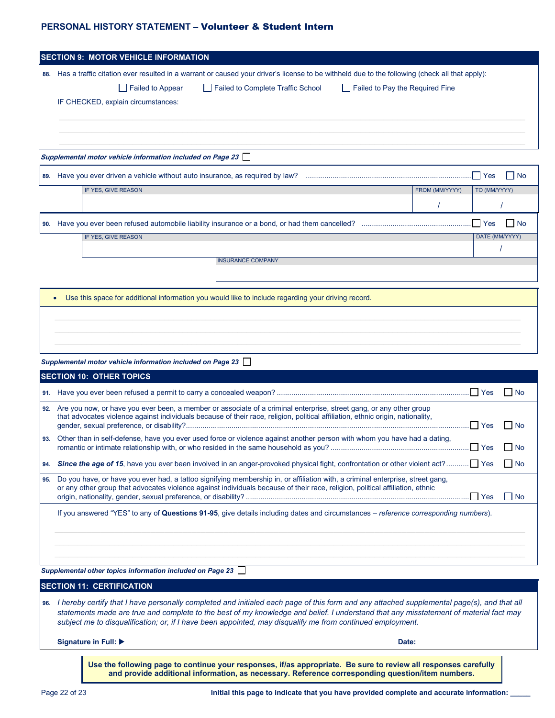| <b>SECTION 9: MOTOR VEHICLE INFORMATION</b>                                                                                                       |                            |  |  |  |  |  |
|---------------------------------------------------------------------------------------------------------------------------------------------------|----------------------------|--|--|--|--|--|
| 88. Has a traffic citation ever resulted in a warrant or caused your driver's license to be withheld due to the following (check all that apply): |                            |  |  |  |  |  |
|                                                                                                                                                   |                            |  |  |  |  |  |
| Failed to Complete Traffic School<br>Failed to Pay the Required Fine<br>$\Box$ Failed to Appear                                                   |                            |  |  |  |  |  |
| IF CHECKED, explain circumstances:                                                                                                                |                            |  |  |  |  |  |
|                                                                                                                                                   |                            |  |  |  |  |  |
|                                                                                                                                                   |                            |  |  |  |  |  |
|                                                                                                                                                   |                            |  |  |  |  |  |
| Supplemental motor vehicle information included on Page 23                                                                                        |                            |  |  |  |  |  |
|                                                                                                                                                   | $\Box$ Yes<br>$\vert$   No |  |  |  |  |  |
| IF YES, GIVE REASON<br>FROM (MM/YYYY)                                                                                                             | TO (MM/YYYY)               |  |  |  |  |  |
|                                                                                                                                                   |                            |  |  |  |  |  |
|                                                                                                                                                   | I No                       |  |  |  |  |  |
| IF YES, GIVE REASON                                                                                                                               | DATE (MM/YYYY)             |  |  |  |  |  |
|                                                                                                                                                   |                            |  |  |  |  |  |
| <b>INSURANCE COMPANY</b>                                                                                                                          |                            |  |  |  |  |  |
|                                                                                                                                                   |                            |  |  |  |  |  |
| Use this space for additional information you would like to include regarding your driving record.                                                |                            |  |  |  |  |  |
| $\bullet$                                                                                                                                         |                            |  |  |  |  |  |
|                                                                                                                                                   |                            |  |  |  |  |  |
|                                                                                                                                                   |                            |  |  |  |  |  |
|                                                                                                                                                   |                            |  |  |  |  |  |
| Supplemental motor vehicle information included on Page 23                                                                                        |                            |  |  |  |  |  |
| <b>SECTION 10: OTHER TOPICS</b>                                                                                                                   |                            |  |  |  |  |  |
|                                                                                                                                                   | l No                       |  |  |  |  |  |
| 92. Are you now, or have you ever been, a member or associate of a criminal enterprise, street gang, or any other group                           |                            |  |  |  |  |  |
| that advocates violence against individuals because of their race, religion, political affiliation, ethnic origin, nationality,                   |                            |  |  |  |  |  |
|                                                                                                                                                   | l No                       |  |  |  |  |  |
| Other than in self-defense, have you ever used force or violence against another person with whom you have had a dating,<br>93.                   | $\Box$ Yes<br><b>No</b>    |  |  |  |  |  |
| 94.                                                                                                                                               | $\Box$ No                  |  |  |  |  |  |
| Do you have, or have you ever had, a tattoo signifying membership in, or affiliation with, a criminal enterprise, street gang,<br>95.             |                            |  |  |  |  |  |
| or any other group that advocates violence against individuals because of their race, religion, political affiliation, ethnic                     | $\Box$ No<br>  Yes         |  |  |  |  |  |
| If you answered "YES" to any of Questions 91-95, give details including dates and circumstances – reference corresponding numbers).               |                            |  |  |  |  |  |
|                                                                                                                                                   |                            |  |  |  |  |  |
|                                                                                                                                                   |                            |  |  |  |  |  |
|                                                                                                                                                   |                            |  |  |  |  |  |
|                                                                                                                                                   |                            |  |  |  |  |  |
| Supplemental other topics information included on Page 23                                                                                         |                            |  |  |  |  |  |
| <b>SECTION 11: CERTIFICATION</b>                                                                                                                  |                            |  |  |  |  |  |

**96.** *I hereby certify that I have personally completed and initialed each page of this form and any attached supplemental page(s), and that all statements made are true and complete to the best of my knowledge and belief. I understand that any misstatement of material fact may subject me to disqualification; or, if I have been appointed, may disqualify me from continued employment.*

**Signature in Full: Date:**

**Use the following page to continue your responses, if/as appropriate. Be sure to review all responses carefully and provide additional information, as necessary. Reference corresponding question/item numbers.**

Page 22 of 23 **Initial this page to indicate that you have provided complete and accurate information: \_\_\_\_\_**